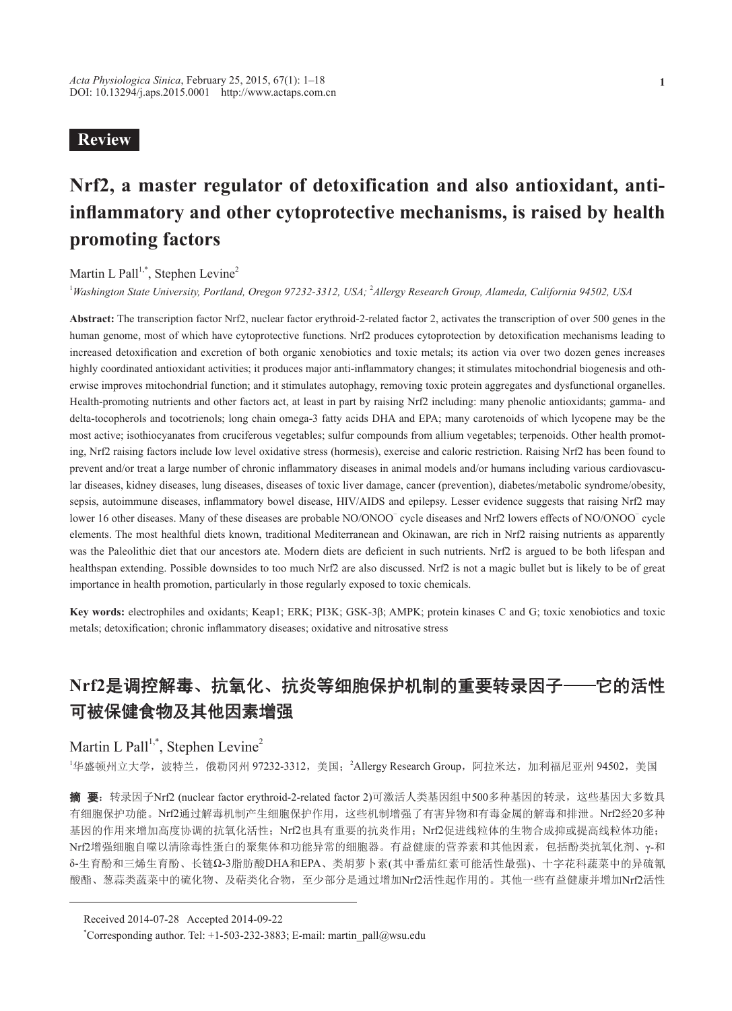## **Review**

# **Nrf2, a master regulator of detoxification and also antioxidant, antiinflammatory and other cytoprotective mechanisms, is raised by health promoting factors**

### Martin L Pall<sup>1,\*</sup>, Stephen Levine<sup>2</sup>

<sup>1</sup> Washington State University, Portland, Oregon 97232-3312, USA; <sup>2</sup>Allergy Research Group, Alameda, California 94502, USA

**Abstract:** The transcription factor Nrf2, nuclear factor erythroid-2-related factor 2, activates the transcription of over 500 genes in the human genome, most of which have cytoprotective functions. Nrf2 produces cytoprotection by detoxification mechanisms leading to increased detoxification and excretion of both organic xenobiotics and toxic metals; its action via over two dozen genes increases highly coordinated antioxidant activities; it produces major anti-inflammatory changes; it stimulates mitochondrial biogenesis and otherwise improves mitochondrial function; and it stimulates autophagy, removing toxic protein aggregates and dysfunctional organelles. Health-promoting nutrients and other factors act, at least in part by raising Nrf2 including: many phenolic antioxidants; gamma- and delta-tocopherols and tocotrienols; long chain omega-3 fatty acids DHA and EPA; many carotenoids of which lycopene may be the most active; isothiocyanates from cruciferous vegetables; sulfur compounds from allium vegetables; terpenoids. Other health promoting, Nrf2 raising factors include low level oxidative stress (hormesis), exercise and caloric restriction. Raising Nrf2 has been found to prevent and/or treat a large number of chronic inflammatory diseases in animal models and/or humans including various cardiovascular diseases, kidney diseases, lung diseases, diseases of toxic liver damage, cancer (prevention), diabetes/metabolic syndrome/obesity, sepsis, autoimmune diseases, inflammatory bowel disease, HIV/AIDS and epilepsy. Lesser evidence suggests that raising Nrf2 may lower 16 other diseases. Many of these diseases are probable NO/ONOO<sup>−</sup> cycle diseases and Nrf2 lowers effects of NO/ONOO<sup>−</sup> cycle elements. The most healthful diets known, traditional Mediterranean and Okinawan, are rich in Nrf2 raising nutrients as apparently was the Paleolithic diet that our ancestors ate. Modern diets are deficient in such nutrients. Nrf2 is argued to be both lifespan and healthspan extending. Possible downsides to too much Nrf2 are also discussed. Nrf2 is not a magic bullet but is likely to be of great importance in health promotion, particularly in those regularly exposed to toxic chemicals.

**Key words:** electrophiles and oxidants; Keap1; ERK; PI3K; GSK-3β; AMPK; protein kinases C and G; toxic xenobiotics and toxic metals; detoxification; chronic inflammatory diseases; oxidative and nitrosative stress

# **Nrf2**是调控解毒、抗氧化、抗炎等细胞保护机制的重要转录因子——它的活性 可被保健食物及其他因素增强

## Martin L Pall<sup>1,\*</sup>, Stephen Levine<sup>2</sup>

'华盛顿州立大学,波特兰,俄勒冈州 97232-3312,美国; <sup>2</sup>Allergy Research Group,阿拉米达,加利福尼亚州 94502,美国

**摘 要**: 转录因子Nrf2 (nuclear factor erythroid-2-related factor 2)可激活人类基因组中500多种基因的转录,这些基因大多数具 有细胞保护功能。Nrf2通过解毒机制产生细胞保护作用,这些机制增强了有害异物和有毒金属的解毒和排泄。Nrf2经20多种 基因的作用来增加高度协调的抗氧化活性;Nrf2也具有重要的抗炎作用;Nrf2促进线粒体的生物合成抑或提高线粒体功能; Nrf2增强细胞自噬以清除毒性蛋白的聚集体和功能异常的细胞器。有益健康的营养素和其他因素,包括酚类抗氧化剂、γ-和 δ-生育酚和三烯生育酚、长链Ω-3脂肪酸DHA和EPA、类胡萝卜素(其中番茄红素可能活性最强)、十字花科蔬菜中的异硫氰 酸酯、葱蒜类蔬菜中的硫化物、及萜类化合物,至少部分是通过增加Nrf2活性起作用的。其他一些有益健康并增加Nrf2活性

Received 2014-07-28 Accepted 2014-09-22

\* Corresponding author. Tel: +1-503-232-3883; E-mail: martin\_pall@wsu.edu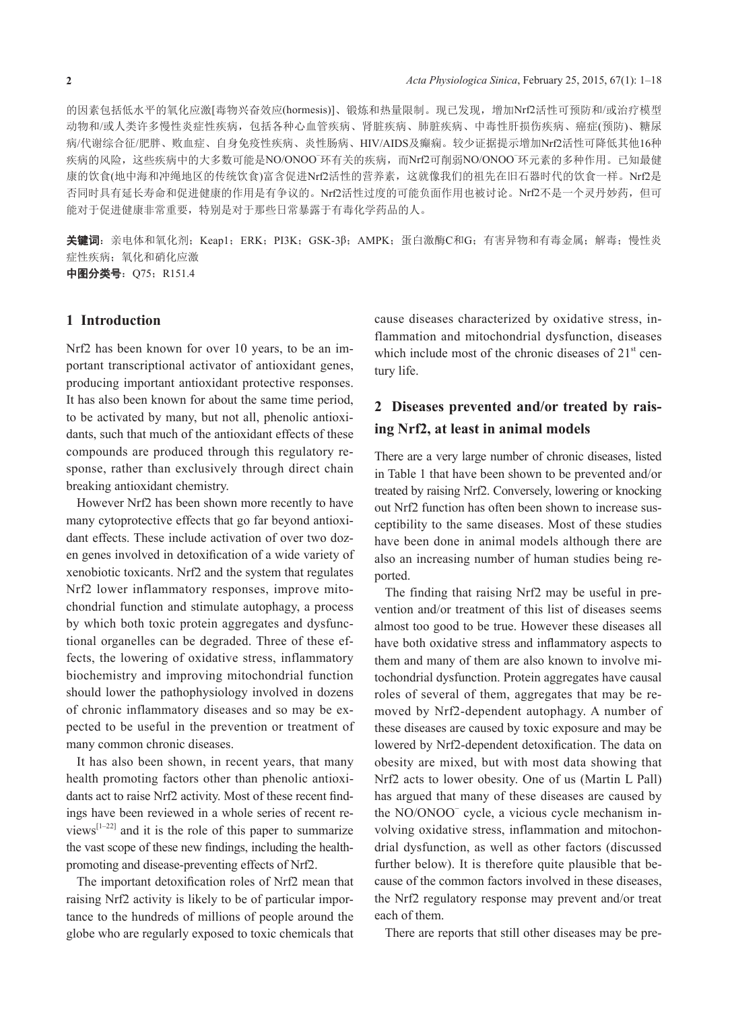的因素包括低水平的氧化应激[毒物兴奋效应(hormesis)]、锻炼和热量限制。现已发现,增加Nrf2活性可预防和/或治疗模型 动物和/或人类许多慢性炎症性疾病,包括各种心血管疾病、肾脏疾病、肺脏疾病、中毒性肝损伤疾病、癌症(预防)、糖尿 病/代谢综合征/肥胖、败血症、自身免疫性疾病、炎性肠病、HIV/AIDS及癫痫。较少证据提示增加Nrf2活性可降低其他16种 疾病的风险, 这些疾病中的大多数可能是NO/ONOO<sup>−</sup>环有关的疾病, 而Nrf2可削弱NO/ONOO<sup>−</sup>环元素的多种作用。已知最健 康的饮食(地中海和冲绳地区的传统饮食)富含促进Nrf2活性的营养素,这就像我们的祖先在旧石器时代的饮食一样。Nrf2是 否同时具有延长寿命和促进健康的作用是有争议的。Nrf2活性过度的可能负面作用也被讨论。Nrf2不是一个灵丹妙药,但可 能对于促进健康非常重要,特别是对于那些日常暴露于有毒化学药品的人。

关键词:亲电体和氧化剂; Keap1; ERK; PI3K; GSK-3β; AMPK; 蛋白激酶C和G; 有害异物和有毒金属; 解毒; 慢性炎 症性疾病;氧化和硝化应激

中图分类号: Q75; R151.4

### **1 Introduction**

Nrf2 has been known for over 10 years, to be an important transcriptional activator of antioxidant genes, producing important antioxidant protective responses. It has also been known for about the same time period, to be activated by many, but not all, phenolic antioxidants, such that much of the antioxidant effects of these compounds are produced through this regulatory response, rather than exclusively through direct chain breaking antioxidant chemistry.

However Nrf2 has been shown more recently to have many cytoprotective effects that go far beyond antioxidant effects. These include activation of over two dozen genes involved in detoxification of a wide variety of xenobiotic toxicants. Nrf2 and the system that regulates Nrf2 lower inflammatory responses, improve mitochondrial function and stimulate autophagy, a process by which both toxic protein aggregates and dysfunctional organelles can be degraded. Three of these effects, the lowering of oxidative stress, inflammatory biochemistry and improving mitochondrial function should lower the pathophysiology involved in dozens of chronic inflammatory diseases and so may be expected to be useful in the prevention or treatment of many common chronic diseases.

It has also been shown, in recent years, that many health promoting factors other than phenolic antioxidants act to raise Nrf2 activity. Most of these recent findings have been reviewed in a whole series of recent reviews $\left[1-22\right]$  and it is the role of this paper to summarize the vast scope of these new findings, including the healthpromoting and disease-preventing effects of Nrf2.

The important detoxification roles of Nrf2 mean that raising Nrf2 activity is likely to be of particular importance to the hundreds of millions of people around the globe who are regularly exposed to toxic chemicals that

cause diseases characterized by oxidative stress, inflammation and mitochondrial dysfunction, diseases which include most of the chronic diseases of  $21<sup>st</sup>$  century life.

## **2 Diseases prevented and/or treated by raising Nrf2, at least in animal models**

There are a very large number of chronic diseases, listed in Table 1 that have been shown to be prevented and/or treated by raising Nrf2. Conversely, lowering or knocking out Nrf2 function has often been shown to increase susceptibility to the same diseases. Most of these studies have been done in animal models although there are also an increasing number of human studies being reported.

The finding that raising Nrf2 may be useful in prevention and/or treatment of this list of diseases seems almost too good to be true. However these diseases all have both oxidative stress and inflammatory aspects to them and many of them are also known to involve mitochondrial dysfunction. Protein aggregates have causal roles of several of them, aggregates that may be removed by Nrf2-dependent autophagy. A number of these diseases are caused by toxic exposure and may be lowered by Nrf2-dependent detoxification. The data on obesity are mixed, but with most data showing that Nrf2 acts to lower obesity. One of us (Martin L Pall) has argued that many of these diseases are caused by the NO/ONOO<sup>−</sup> cycle, a vicious cycle mechanism involving oxidative stress, inflammation and mitochondrial dysfunction, as well as other factors (discussed further below). It is therefore quite plausible that because of the common factors involved in these diseases, the Nrf2 regulatory response may prevent and/or treat each of them.

There are reports that still other diseases may be pre-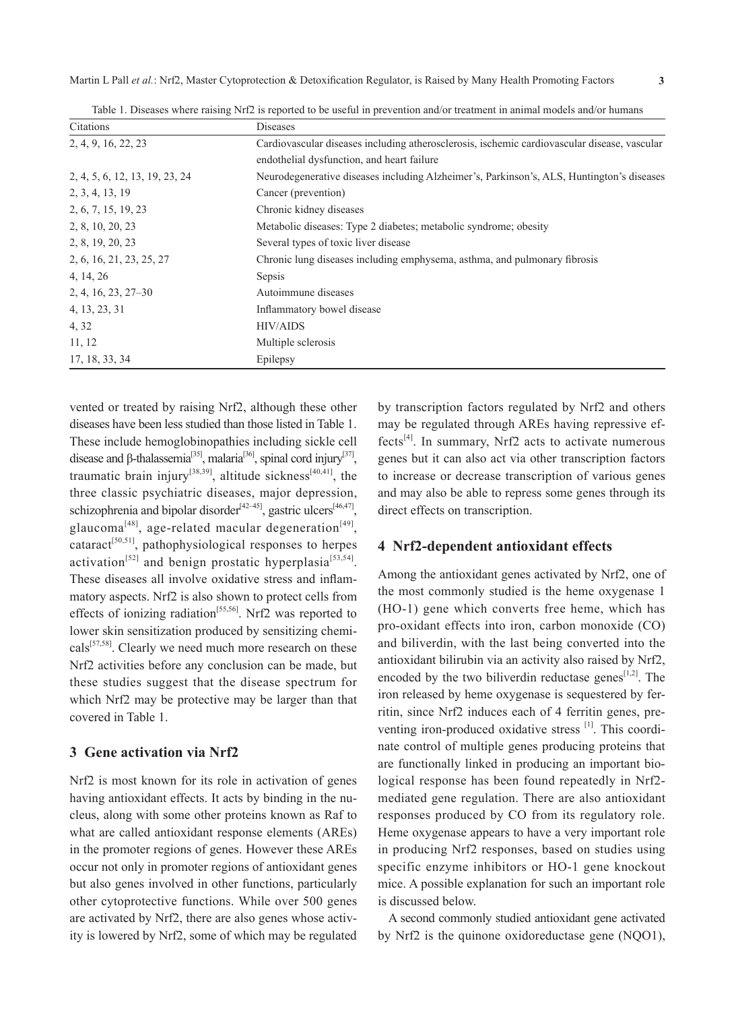| Citations                      | Diseases                                                                                     |  |
|--------------------------------|----------------------------------------------------------------------------------------------|--|
| 2, 4, 9, 16, 22, 23            | Cardiovascular diseases including atherosclerosis, ischemic cardiovascular disease, vascular |  |
|                                | endothelial dysfunction, and heart failure                                                   |  |
| 2, 4, 5, 6, 12, 13, 19, 23, 24 | Neurodegenerative diseases including Alzheimer's, Parkinson's, ALS, Huntington's diseases    |  |
| 2, 3, 4, 13, 19                | Cancer (prevention)                                                                          |  |
| 2, 6, 7, 15, 19, 23            | Chronic kidney diseases                                                                      |  |
| 2, 8, 10, 20, 23               | Metabolic diseases: Type 2 diabetes; metabolic syndrome; obesity                             |  |
| 2, 8, 19, 20, 23               | Several types of toxic liver disease                                                         |  |
| 2, 6, 16, 21, 23, 25, 27       | Chronic lung diseases including emphysema, asthma, and pulmonary fibrosis                    |  |
| 4, 14, 26                      | Sepsis                                                                                       |  |
| $2, 4, 16, 23, 27 - 30$        | Autoimmune diseases                                                                          |  |
| 4, 13, 23, 31                  | Inflammatory bowel disease                                                                   |  |
| 4, 32                          | <b>HIV/AIDS</b>                                                                              |  |
| 11, 12                         | Multiple sclerosis                                                                           |  |
| 17, 18, 33, 34                 | Epilepsy                                                                                     |  |

Table 1. Diseases where raising Nrf2 is reported to be useful in prevention and/or treatment in animal models and/or humans

vented or treated by raising Nrf2, although these other diseases have been less studied than those listed in Table 1. These include hemoglobinopathies including sickle cell disease and β-thalassemia<sup>[35]</sup>, malaria<sup>[36]</sup>, spinal cord injury<sup>[37]</sup>, traumatic brain injury<sup>[38,39]</sup>, altitude sickness<sup>[40,41]</sup>, the three classic psychiatric diseases, major depression, schizophrenia and bipolar disorder<sup>[42–45]</sup>, gastric ulcers<sup>[46,47]</sup>, glaucoma<sup>[48]</sup>, age-related macular degeneration<sup>[49]</sup>, cataract<sup>[50,51]</sup>, pathophysiological responses to herpes activation<sup>[52]</sup> and benign prostatic hyperplasia<sup>[53,54]</sup>. These diseases all involve oxidative stress and inflammatory aspects. Nrf2 is also shown to protect cells from effects of ionizing radiation[55,56]. Nrf2 was reported to lower skin sensitization produced by sensitizing chemicals[57,58]. Clearly we need much more research on these Nrf2 activities before any conclusion can be made, but these studies suggest that the disease spectrum for which Nrf2 may be protective may be larger than that covered in Table 1.

### **3 Gene activation via Nrf2**

Nrf2 is most known for its role in activation of genes having antioxidant effects. It acts by binding in the nucleus, along with some other proteins known as Raf to what are called antioxidant response elements (AREs) in the promoter regions of genes. However these AREs occur not only in promoter regions of antioxidant genes but also genes involved in other functions, particularly other cytoprotective functions. While over 500 genes are activated by Nrf2, there are also genes whose activity is lowered by Nrf2, some of which may be regulated by transcription factors regulated by Nrf2 and others may be regulated through AREs having repressive effects[4]. In summary, Nrf2 acts to activate numerous genes but it can also act via other transcription factors to increase or decrease transcription of various genes and may also be able to repress some genes through its direct effects on transcription.

### **4 Nrf2-dependent antioxidant effects**

Among the antioxidant genes activated by Nrf2, one of the most commonly studied is the heme oxygenase 1 (HO-1) gene which converts free heme, which has pro-oxidant effects into iron, carbon monoxide (CO) and biliverdin, with the last being converted into the antioxidant bilirubin via an activity also raised by Nrf2, encoded by the two biliverdin reductase genes<sup>[1,2]</sup>. The iron released by heme oxygenase is sequestered by ferritin, since Nrf2 induces each of 4 ferritin genes, preventing iron-produced oxidative stress [1]. This coordinate control of multiple genes producing proteins that are functionally linked in producing an important biological response has been found repeatedly in Nrf2 mediated gene regulation. There are also antioxidant responses produced by CO from its regulatory role. Heme oxygenase appears to have a very important role in producing Nrf2 responses, based on studies using specific enzyme inhibitors or HO-1 gene knockout mice. A possible explanation for such an important role is discussed below.

A second commonly studied antioxidant gene activated by Nrf2 is the quinone oxidoreductase gene (NQO1),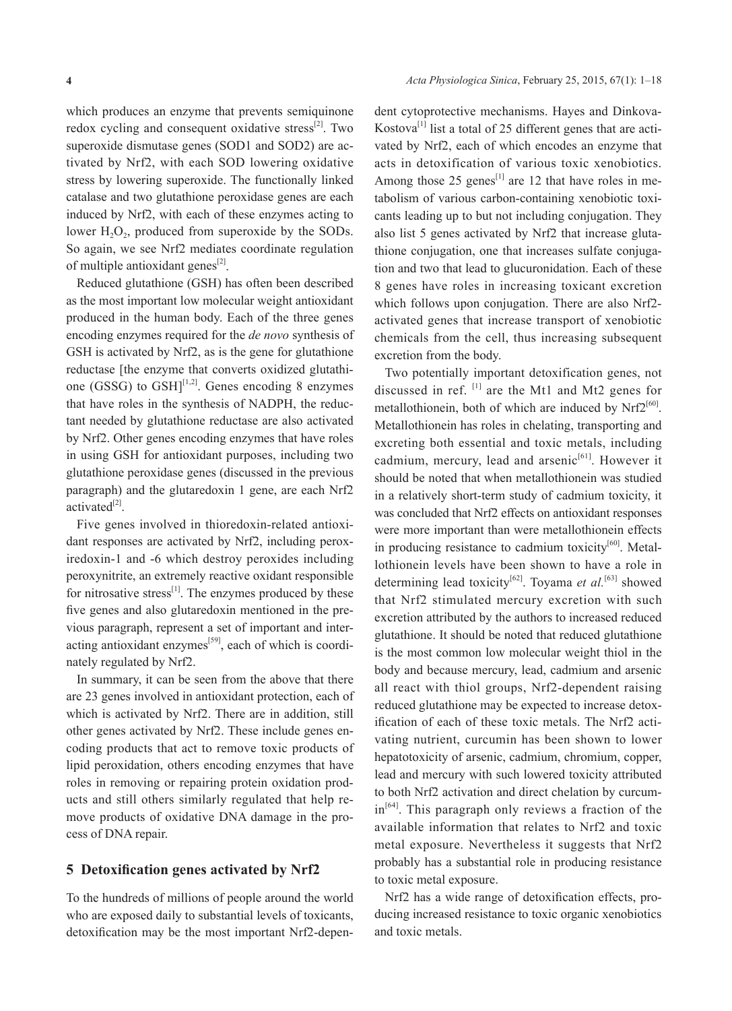which produces an enzyme that prevents semiquinone redox cycling and consequent oxidative stress $^{[2]}$ . Two superoxide dismutase genes (SOD1 and SOD2) are activated by Nrf2, with each SOD lowering oxidative stress by lowering superoxide. The functionally linked catalase and two glutathione peroxidase genes are each induced by Nrf2, with each of these enzymes acting to lower  $H_2O_2$ , produced from superoxide by the SODs. So again, we see Nrf2 mediates coordinate regulation of multiple antioxidant genes<sup>[2]</sup>.

Reduced glutathione (GSH) has often been described as the most important low molecular weight antioxidant produced in the human body. Each of the three genes encoding enzymes required for the *de novo* synthesis of GSH is activated by Nrf2, as is the gene for glutathione reductase [the enzyme that converts oxidized glutathione (GSSG) to GSH $]^{[1,2]}$ . Genes encoding 8 enzymes that have roles in the synthesis of NADPH, the reductant needed by glutathione reductase are also activated by Nrf2. Other genes encoding enzymes that have roles in using GSH for antioxidant purposes, including two glutathione peroxidase genes (discussed in the previous paragraph) and the glutaredoxin 1 gene, are each Nrf2 activated $^{[2]}$ .

Five genes involved in thioredoxin-related antioxidant responses are activated by Nrf2, including peroxiredoxin-1 and -6 which destroy peroxides including peroxynitrite, an extremely reactive oxidant responsible for nitrosative stress $^{[1]}$ . The enzymes produced by these five genes and also glutaredoxin mentioned in the previous paragraph, represent a set of important and interacting antioxidant enzymes $[59]$ , each of which is coordinately regulated by Nrf2.

In summary, it can be seen from the above that there are 23 genes involved in antioxidant protection, each of which is activated by Nrf2. There are in addition, still other genes activated by Nrf2. These include genes encoding products that act to remove toxic products of lipid peroxidation, others encoding enzymes that have roles in removing or repairing protein oxidation products and still others similarly regulated that help remove products of oxidative DNA damage in the process of DNA repair.

### **5 Detoxification genes activated by Nrf2**

To the hundreds of millions of people around the world who are exposed daily to substantial levels of toxicants, detoxification may be the most important Nrf2-depen-

dent cytoprotective mechanisms. Hayes and Dinkova-Kostova $^{[1]}$  list a total of 25 different genes that are activated by Nrf2, each of which encodes an enzyme that acts in detoxification of various toxic xenobiotics. Among those 25 genes<sup>[1]</sup> are 12 that have roles in metabolism of various carbon-containing xenobiotic toxicants leading up to but not including conjugation. They also list 5 genes activated by Nrf2 that increase glutathione conjugation, one that increases sulfate conjugation and two that lead to glucuronidation. Each of these 8 genes have roles in increasing toxicant excretion which follows upon conjugation. There are also Nrf2 activated genes that increase transport of xenobiotic chemicals from the cell, thus increasing subsequent excretion from the body.

Two potentially important detoxification genes, not discussed in ref.  $\left[1\right]$  are the Mt1 and Mt2 genes for metallothionein, both of which are induced by  $Nrf2^{[60]}$ . Metallothionein has roles in chelating, transporting and excreting both essential and toxic metals, including cadmium, mercury, lead and arsenic<sup>[61]</sup>. However it should be noted that when metallothionein was studied in a relatively short-term study of cadmium toxicity, it was concluded that Nrf2 effects on antioxidant responses were more important than were metallothionein effects in producing resistance to cadmium toxicity $[60]$ . Metallothionein levels have been shown to have a role in determining lead toxicity<sup>[62]</sup>. Toyama *et al.*<sup>[63]</sup> showed that Nrf2 stimulated mercury excretion with such excretion attributed by the authors to increased reduced glutathione. It should be noted that reduced glutathione is the most common low molecular weight thiol in the body and because mercury, lead, cadmium and arsenic all react with thiol groups, Nrf2-dependent raising reduced glutathione may be expected to increase detoxification of each of these toxic metals. The Nrf2 activating nutrient, curcumin has been shown to lower hepatotoxicity of arsenic, cadmium, chromium, copper, lead and mercury with such lowered toxicity attributed to both Nrf2 activation and direct chelation by curcum $in^{64]}$ . This paragraph only reviews a fraction of the available information that relates to Nrf2 and toxic metal exposure. Nevertheless it suggests that Nrf2 probably has a substantial role in producing resistance to toxic metal exposure.

Nrf2 has a wide range of detoxification effects, producing increased resistance to toxic organic xenobiotics and toxic metals.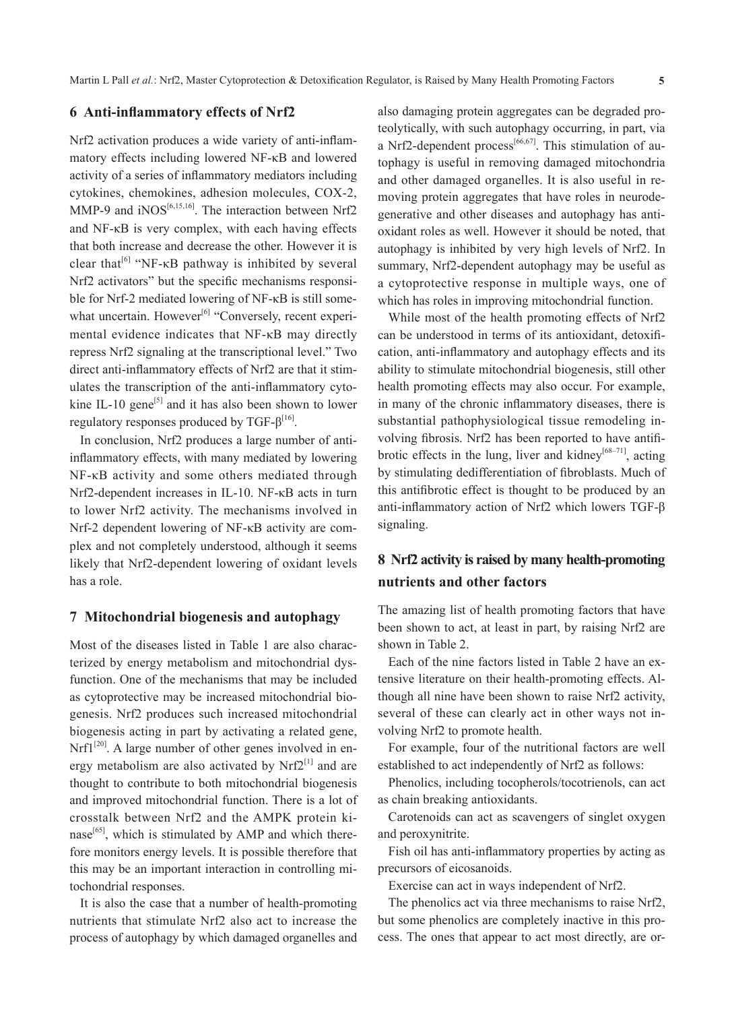#### **6 Anti-inflammatory effects of Nrf2**

Nrf2 activation produces a wide variety of anti-inflammatory effects including lowered NF-κB and lowered activity of a series of inflammatory mediators including cytokines, chemokines, adhesion molecules, COX-2, MMP-9 and iNOS<sup>[6,15,16]</sup>. The interaction between Nrf2 and NF-κB is very complex, with each having effects that both increase and decrease the other. However it is clear that<sup>[6]</sup> "NF- $\kappa$ B pathway is inhibited by several Nrf2 activators" but the specific mechanisms responsible for Nrf-2 mediated lowering of NF-κB is still somewhat uncertain. However<sup>[6]</sup> "Conversely, recent experimental evidence indicates that NF-κB may directly repress Nrf2 signaling at the transcriptional level." Two direct anti-inflammatory effects of Nrf2 are that it stimulates the transcription of the anti-inflammatory cytokine IL-10 gene<sup>[5]</sup> and it has also been shown to lower regulatory responses produced by TGF- $β^{[16]}$ .

In conclusion, Nrf2 produces a large number of antiinflammatory effects, with many mediated by lowering NF-κB activity and some others mediated through Nrf2-dependent increases in IL-10. NF-κB acts in turn to lower Nrf2 activity. The mechanisms involved in Nrf-2 dependent lowering of NF-κB activity are complex and not completely understood, although it seems likely that Nrf2-dependent lowering of oxidant levels has a role.

### **7 Mitochondrial biogenesis and autophagy**

Most of the diseases listed in Table 1 are also characterized by energy metabolism and mitochondrial dysfunction. One of the mechanisms that may be included as cytoprotective may be increased mitochondrial biogenesis. Nrf2 produces such increased mitochondrial biogenesis acting in part by activating a related gene,  $Nrf1^{[20]}$ . A large number of other genes involved in energy metabolism are also activated by  $Nrf2^{[1]}$  and are thought to contribute to both mitochondrial biogenesis and improved mitochondrial function. There is a lot of crosstalk between Nrf2 and the AMPK protein kinase $[65]$ , which is stimulated by AMP and which therefore monitors energy levels. It is possible therefore that this may be an important interaction in controlling mitochondrial responses.

It is also the case that a number of health-promoting nutrients that stimulate Nrf2 also act to increase the process of autophagy by which damaged organelles and also damaging protein aggregates can be degraded proteolytically, with such autophagy occurring, in part, via a Nrf2-dependent process<sup>[66,67]</sup>. This stimulation of autophagy is useful in removing damaged mitochondria and other damaged organelles. It is also useful in removing protein aggregates that have roles in neurodegenerative and other diseases and autophagy has antioxidant roles as well. However it should be noted, that autophagy is inhibited by very high levels of Nrf2. In summary, Nrf2-dependent autophagy may be useful as a cytoprotective response in multiple ways, one of which has roles in improving mitochondrial function.

While most of the health promoting effects of Nrf2 can be understood in terms of its antioxidant, detoxification, anti-inflammatory and autophagy effects and its ability to stimulate mitochondrial biogenesis, still other health promoting effects may also occur. For example, in many of the chronic inflammatory diseases, there is substantial pathophysiological tissue remodeling involving fibrosis. Nrf2 has been reported to have antifibrotic effects in the lung, liver and kidney<sup>[68–71]</sup>, acting by stimulating dedifferentiation of fibroblasts. Much of this antifibrotic effect is thought to be produced by an anti-inflammatory action of Nrf2 which lowers TGF-β signaling.

# **8 Nrf2 activity is raised by many health-promoting nutrients and other factors**

The amazing list of health promoting factors that have been shown to act, at least in part, by raising Nrf2 are shown in Table 2.

Each of the nine factors listed in Table 2 have an extensive literature on their health-promoting effects. Although all nine have been shown to raise Nrf2 activity, several of these can clearly act in other ways not involving Nrf2 to promote health.

For example, four of the nutritional factors are well established to act independently of Nrf2 as follows:

Phenolics, including tocopherols/tocotrienols, can act as chain breaking antioxidants.

Carotenoids can act as scavengers of singlet oxygen and peroxynitrite.

Fish oil has anti-inflammatory properties by acting as precursors of eicosanoids.

Exercise can act in ways independent of Nrf2.

The phenolics act via three mechanisms to raise Nrf2, but some phenolics are completely inactive in this process. The ones that appear to act most directly, are or-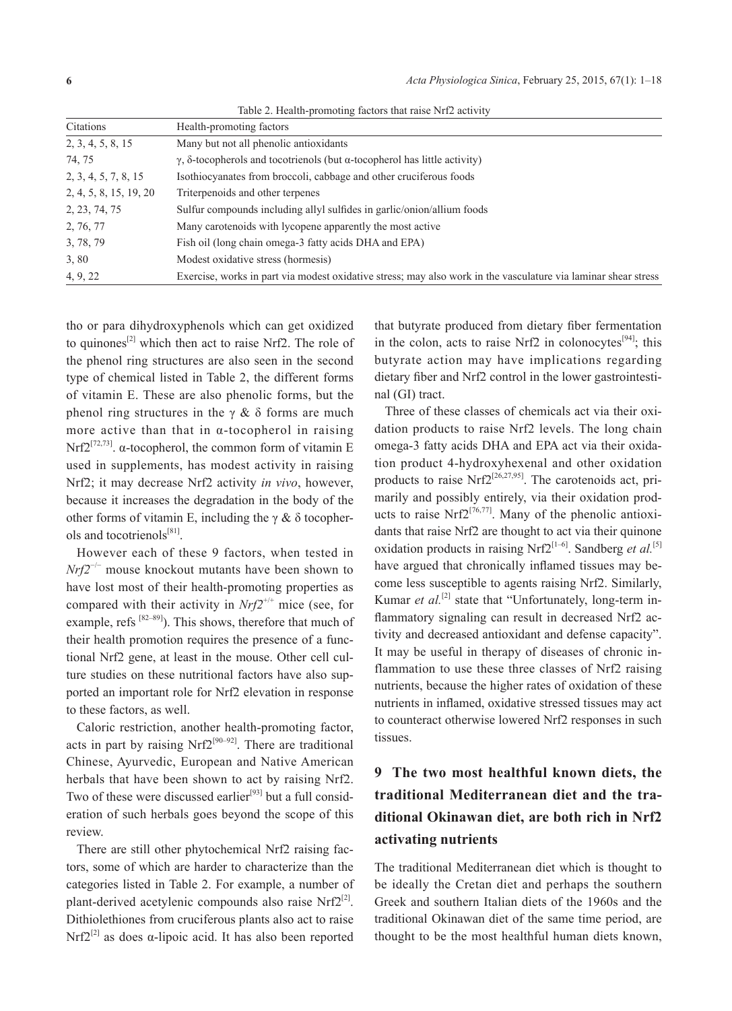|  |  |  |  |  | Table 2. Health-promoting factors that raise Nrf2 activity |
|--|--|--|--|--|------------------------------------------------------------|
|--|--|--|--|--|------------------------------------------------------------|

| Citations              | Health-promoting factors                                                                                       |
|------------------------|----------------------------------------------------------------------------------------------------------------|
| 2, 3, 4, 5, 8, 15      | Many but not all phenolic antioxidants                                                                         |
| 74, 75                 | $\gamma$ , $\delta$ -tocopherols and tocotrienols (but $\alpha$ -tocopherol has little activity)               |
| 2, 3, 4, 5, 7, 8, 15   | Isothiocyanates from broccoli, cabbage and other cruciferous foods                                             |
| 2, 4, 5, 8, 15, 19, 20 | Triterpenoids and other terpenes                                                                               |
| 2, 23, 74, 75          | Sulfur compounds including allyl sulfides in garlic/onion/allium foods                                         |
| 2, 76, 77              | Many carotenoids with lycopene apparently the most active                                                      |
| 3, 78, 79              | Fish oil (long chain omega-3 fatty acids DHA and EPA)                                                          |
| 3,80                   | Modest oxidative stress (hormesis)                                                                             |
| 4, 9, 22               | Exercise, works in part via modest oxidative stress; may also work in the vasculature via laminar shear stress |

tho or para dihydroxyphenols which can get oxidized to quinones<sup>[2]</sup> which then act to raise Nrf2. The role of the phenol ring structures are also seen in the second type of chemical listed in Table 2, the different forms of vitamin E. These are also phenolic forms, but the phenol ring structures in the  $\gamma \&$  δ forms are much more active than that in  $\alpha$ -tocopherol in raising Nrf2<sup>[72,73]</sup>.  $\alpha$ -tocopherol, the common form of vitamin E used in supplements, has modest activity in raising Nrf2; it may decrease Nrf2 activity *in vivo*, however, because it increases the degradation in the body of the other forms of vitamin E, including the  $\gamma \&$  δ tocopherols and tocotrienols[81].

However each of these 9 factors, when tested in *Nrf2<sup>−/−</sup>* mouse knockout mutants have been shown to have lost most of their health-promoting properties as compared with their activity in  $Nrf2^{+/+}$  mice (see, for example, refs  $[82-89]$ ). This shows, therefore that much of their health promotion requires the presence of a functional Nrf2 gene, at least in the mouse. Other cell culture studies on these nutritional factors have also supported an important role for Nrf2 elevation in response to these factors, as well.

Caloric restriction, another health-promoting factor, acts in part by raising  $Nrf2^{[90-92]}$ . There are traditional Chinese, Ayurvedic, European and Native American herbals that have been shown to act by raising Nrf2. Two of these were discussed earlier<sup>[93]</sup> but a full consideration of such herbals goes beyond the scope of this review.

There are still other phytochemical Nrf2 raising factors, some of which are harder to characterize than the categories listed in Table 2. For example, a number of plant-derived acetylenic compounds also raise  $Nrf2^{[2]}$ . Dithiolethiones from cruciferous plants also act to raise Nrf2<sup>[2]</sup> as does  $\alpha$ -lipoic acid. It has also been reported

that butyrate produced from dietary fiber fermentation in the colon, acts to raise Nrf2 in colonocytes<sup>[94]</sup>; this butyrate action may have implications regarding dietary fiber and Nrf2 control in the lower gastrointestinal (GI) tract.

Three of these classes of chemicals act via their oxidation products to raise Nrf2 levels. The long chain omega-3 fatty acids DHA and EPA act via their oxidation product 4-hydroxyhexenal and other oxidation products to raise Nrf2<sup>[26,27,95]</sup>. The carotenoids act, primarily and possibly entirely, via their oxidation products to raise Nrf2<sup>[76,77]</sup>. Many of the phenolic antioxidants that raise Nrf2 are thought to act via their quinone oxidation products in raising Nrf2<sup>[1–6]</sup>. Sandberg *et al.*<sup>[5]</sup> have argued that chronically inflamed tissues may become less susceptible to agents raising Nrf2. Similarly, Kumar *et al.*<sup>[2]</sup> state that "Unfortunately, long-term inflammatory signaling can result in decreased Nrf2 activity and decreased antioxidant and defense capacity". It may be useful in therapy of diseases of chronic inflammation to use these three classes of Nrf2 raising nutrients, because the higher rates of oxidation of these nutrients in inflamed, oxidative stressed tissues may act to counteract otherwise lowered Nrf2 responses in such tissues.

# **9 The two most healthful known diets, the traditional Mediterranean diet and the traditional Okinawan diet, are both rich in Nrf2 activating nutrients**

The traditional Mediterranean diet which is thought to be ideally the Cretan diet and perhaps the southern Greek and southern Italian diets of the 1960s and the traditional Okinawan diet of the same time period, are thought to be the most healthful human diets known,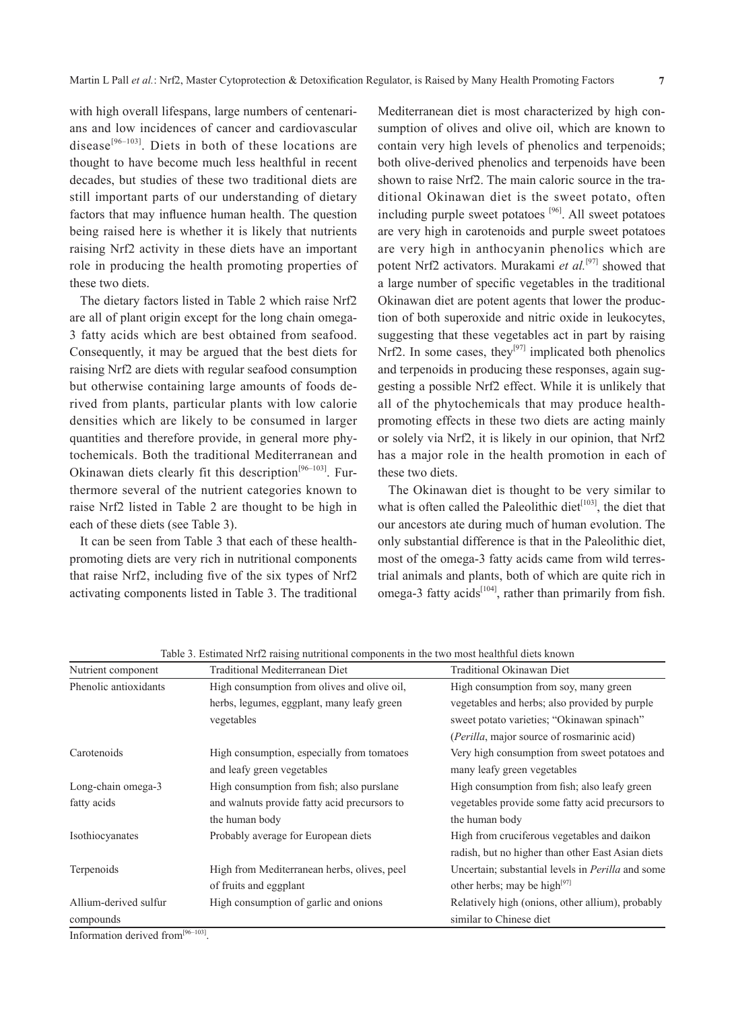with high overall lifespans, large numbers of centenarians and low incidences of cancer and cardiovascular disease<sup>[96-103]</sup>. Diets in both of these locations are thought to have become much less healthful in recent decades, but studies of these two traditional diets are still important parts of our understanding of dietary factors that may influence human health. The question being raised here is whether it is likely that nutrients raising Nrf2 activity in these diets have an important role in producing the health promoting properties of these two diets.

The dietary factors listed in Table 2 which raise Nrf2 are all of plant origin except for the long chain omega-3 fatty acids which are best obtained from seafood. Consequently, it may be argued that the best diets for raising Nrf2 are diets with regular seafood consumption but otherwise containing large amounts of foods derived from plants, particular plants with low calorie densities which are likely to be consumed in larger quantities and therefore provide, in general more phytochemicals. Both the traditional Mediterranean and Okinawan diets clearly fit this description<sup>[96-103]</sup>. Furthermore several of the nutrient categories known to raise Nrf2 listed in Table 2 are thought to be high in each of these diets (see Table 3).

It can be seen from Table 3 that each of these healthpromoting diets are very rich in nutritional components that raise Nrf2, including five of the six types of Nrf2 activating components listed in Table 3. The traditional Mediterranean diet is most characterized by high consumption of olives and olive oil, which are known to contain very high levels of phenolics and terpenoids; both olive-derived phenolics and terpenoids have been shown to raise Nrf2. The main caloric source in the traditional Okinawan diet is the sweet potato, often including purple sweet potatoes [96]. All sweet potatoes are very high in carotenoids and purple sweet potatoes are very high in anthocyanin phenolics which are potent Nrf2 activators. Murakami *et al.*<sup>[97]</sup> showed that a large number of specific vegetables in the traditional Okinawan diet are potent agents that lower the production of both superoxide and nitric oxide in leukocytes, suggesting that these vegetables act in part by raising Nrf2. In some cases, they<sup>[97]</sup> implicated both phenolics and terpenoids in producing these responses, again suggesting a possible Nrf2 effect. While it is unlikely that all of the phytochemicals that may produce healthpromoting effects in these two diets are acting mainly or solely via Nrf2, it is likely in our opinion, that Nrf2 has a major role in the health promotion in each of these two diets.

The Okinawan diet is thought to be very similar to what is often called the Paleolithic diet $t^{\text{[103]}}$ , the diet that our ancestors ate during much of human evolution. The only substantial difference is that in the Paleolithic diet, most of the omega-3 fatty acids came from wild terrestrial animals and plants, both of which are quite rich in omega-3 fatty acids<sup>[104]</sup>, rather than primarily from fish.

| Nutrient component    | Traditional Mediterranean Diet               | Traditional Okinawan Diet                                |
|-----------------------|----------------------------------------------|----------------------------------------------------------|
| Phenolic antioxidants | High consumption from olives and olive oil,  | High consumption from soy, many green                    |
|                       | herbs, legumes, eggplant, many leafy green   | vegetables and herbs; also provided by purple            |
|                       | vegetables                                   | sweet potato varieties; "Okinawan spinach"               |
|                       |                                              | (Perilla, major source of rosmarinic acid)               |
| Carotenoids           | High consumption, especially from tomatoes   | Very high consumption from sweet potatoes and            |
|                       | and leafy green vegetables                   | many leafy green vegetables                              |
| Long-chain omega-3    | High consumption from fish; also purslane    | High consumption from fish; also leafy green             |
| fatty acids           | and walnuts provide fatty acid precursors to | vegetables provide some fatty acid precursors to         |
|                       | the human body                               | the human body                                           |
| Isothiocyanates       | Probably average for European diets          | High from cruciferous vegetables and daikon              |
|                       |                                              | radish, but no higher than other East Asian diets        |
| Terpenoids            | High from Mediterranean herbs, olives, peel  | Uncertain; substantial levels in <i>Perilla</i> and some |
|                       | of fruits and eggplant                       | other herbs; may be high $[97]$                          |
| Allium-derived sulfur | High consumption of garlic and onions        | Relatively high (onions, other allium), probably         |
| compounds             |                                              | similar to Chinese diet                                  |

Table 3. Estimated Nrf2 raising nutritional components in the two most healthful diets known

Information derived from $^{[96-103]}$ .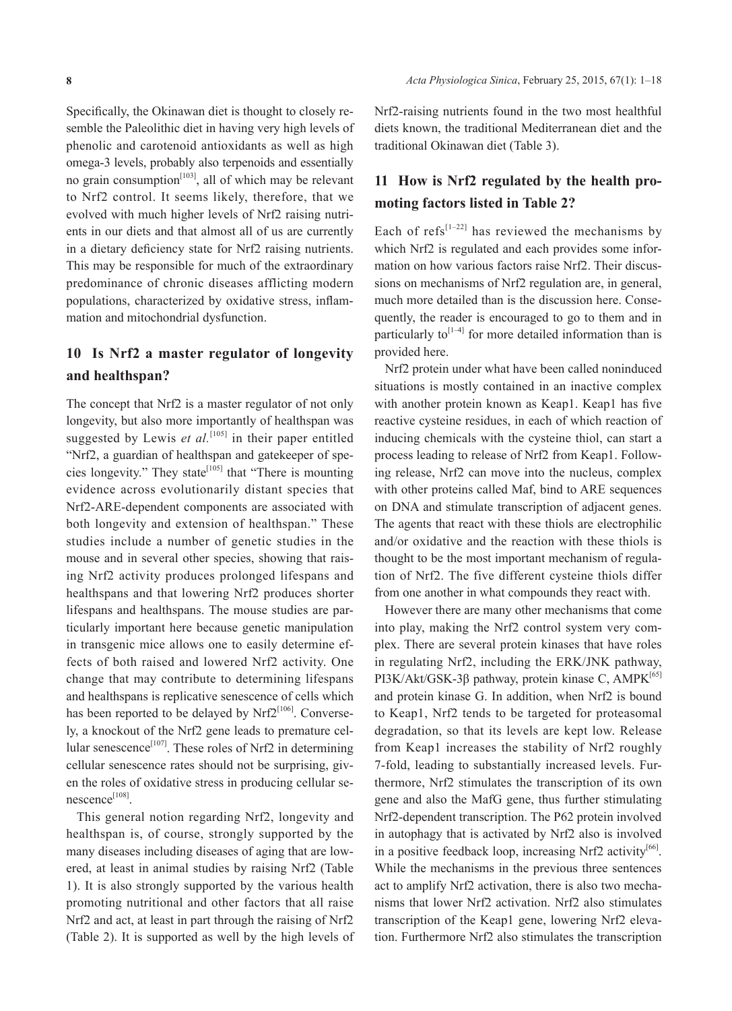Specifically, the Okinawan diet is thought to closely resemble the Paleolithic diet in having very high levels of phenolic and carotenoid antioxidants as well as high omega-3 levels, probably also terpenoids and essentially no grain consumption $[103]$ , all of which may be relevant to Nrf2 control. It seems likely, therefore, that we evolved with much higher levels of Nrf2 raising nutrients in our diets and that almost all of us are currently in a dietary deficiency state for Nrf2 raising nutrients. This may be responsible for much of the extraordinary predominance of chronic diseases afflicting modern populations, characterized by oxidative stress, inflammation and mitochondrial dysfunction.

# **10 Is Nrf2 a master regulator of longevity and healthspan?**

The concept that Nrf2 is a master regulator of not only longevity, but also more importantly of healthspan was suggested by Lewis *et al.*<sup>[105]</sup> in their paper entitled "Nrf2, a guardian of healthspan and gatekeeper of species longevity." They state<sup>[105]</sup> that "There is mounting evidence across evolutionarily distant species that Nrf2-ARE-dependent components are associated with both longevity and extension of healthspan." These studies include a number of genetic studies in the mouse and in several other species, showing that raising Nrf2 activity produces prolonged lifespans and healthspans and that lowering Nrf2 produces shorter lifespans and healthspans. The mouse studies are particularly important here because genetic manipulation in transgenic mice allows one to easily determine effects of both raised and lowered Nrf2 activity. One change that may contribute to determining lifespans and healthspans is replicative senescence of cells which has been reported to be delayed by Nrf2<sup>[106]</sup>. Conversely, a knockout of the Nrf2 gene leads to premature cellular senescence<sup>[107]</sup>. These roles of Nrf2 in determining cellular senescence rates should not be surprising, given the roles of oxidative stress in producing cellular senescence[108].

This general notion regarding Nrf2, longevity and healthspan is, of course, strongly supported by the many diseases including diseases of aging that are lowered, at least in animal studies by raising Nrf2 (Table 1). It is also strongly supported by the various health promoting nutritional and other factors that all raise Nrf2 and act, at least in part through the raising of Nrf2 (Table 2). It is supported as well by the high levels of Nrf2-raising nutrients found in the two most healthful diets known, the traditional Mediterranean diet and the traditional Okinawan diet (Table 3).

# **11 How is Nrf2 regulated by the health promoting factors listed in Table 2?**

Each of refs<sup>[1–22]</sup> has reviewed the mechanisms by which Nrf2 is regulated and each provides some information on how various factors raise Nrf2. Their discussions on mechanisms of Nrf2 regulation are, in general, much more detailed than is the discussion here. Consequently, the reader is encouraged to go to them and in particularly to<sup> $[1-4]$ </sup> for more detailed information than is provided here.

Nrf2 protein under what have been called noninduced situations is mostly contained in an inactive complex with another protein known as Keap1. Keap1 has five reactive cysteine residues, in each of which reaction of inducing chemicals with the cysteine thiol, can start a process leading to release of Nrf2 from Keap1. Following release, Nrf2 can move into the nucleus, complex with other proteins called Maf, bind to ARE sequences on DNA and stimulate transcription of adjacent genes. The agents that react with these thiols are electrophilic and/or oxidative and the reaction with these thiols is thought to be the most important mechanism of regulation of Nrf2. The five different cysteine thiols differ from one another in what compounds they react with.

However there are many other mechanisms that come into play, making the Nrf2 control system very complex. There are several protein kinases that have roles in regulating Nrf2, including the ERK/JNK pathway, PI3K/Akt/GSK-3β pathway, protein kinase C, AMPK<sup>[65]</sup> and protein kinase G. In addition, when Nrf2 is bound to Keap1, Nrf2 tends to be targeted for proteasomal degradation, so that its levels are kept low. Release from Keap1 increases the stability of Nrf2 roughly 7-fold, leading to substantially increased levels. Furthermore, Nrf2 stimulates the transcription of its own gene and also the MafG gene, thus further stimulating Nrf2-dependent transcription. The P62 protein involved in autophagy that is activated by Nrf2 also is involved in a positive feedback loop, increasing Nrf2 activity<sup>[66]</sup>. While the mechanisms in the previous three sentences act to amplify Nrf2 activation, there is also two mechanisms that lower Nrf2 activation. Nrf2 also stimulates transcription of the Keap1 gene, lowering Nrf2 elevation. Furthermore Nrf2 also stimulates the transcription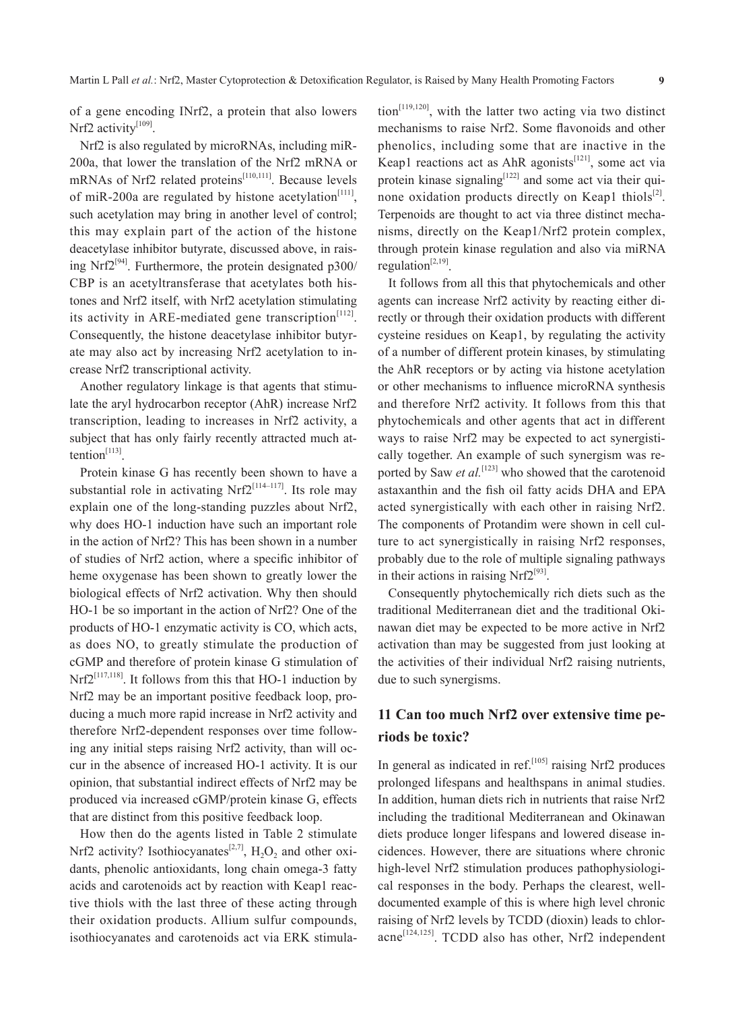of a gene encoding INrf2, a protein that also lowers Nrf2 activity<sup>[109]</sup>.

Nrf2 is also regulated by microRNAs, including miR-200a, that lower the translation of the Nrf2 mRNA or mRNAs of Nrf2 related proteins<sup>[110,111]</sup>. Because levels of miR-200a are regulated by histone acetylation<sup>[111]</sup>, such acetylation may bring in another level of control; this may explain part of the action of the histone deacetylase inhibitor butyrate, discussed above, in raising Nrf $2^{[94]}$ . Furthermore, the protein designated p300/ CBP is an acetyltransferase that acetylates both histones and Nrf2 itself, with Nrf2 acetylation stimulating its activity in ARE-mediated gene transcription $[112]$ . Consequently, the histone deacetylase inhibitor butyrate may also act by increasing Nrf2 acetylation to increase Nrf2 transcriptional activity.

Another regulatory linkage is that agents that stimulate the aryl hydrocarbon receptor (AhR) increase Nrf2 transcription, leading to increases in Nrf2 activity, a subject that has only fairly recently attracted much attention $[113]$ .

Protein kinase G has recently been shown to have a substantial role in activating Nrf $2^{[114-117]}$ . Its role may explain one of the long-standing puzzles about Nrf2, why does HO-1 induction have such an important role in the action of Nrf2? This has been shown in a number of studies of Nrf2 action, where a specific inhibitor of heme oxygenase has been shown to greatly lower the biological effects of Nrf2 activation. Why then should HO-1 be so important in the action of Nrf2? One of the products of HO-1 enzymatic activity is CO, which acts, as does NO, to greatly stimulate the production of cGMP and therefore of protein kinase G stimulation of  $Nrf2^{[117,118]}$ . It follows from this that HO-1 induction by Nrf2 may be an important positive feedback loop, producing a much more rapid increase in Nrf2 activity and therefore Nrf2-dependent responses over time following any initial steps raising Nrf2 activity, than will occur in the absence of increased HO-1 activity. It is our opinion, that substantial indirect effects of Nrf2 may be produced via increased cGMP/protein kinase G, effects that are distinct from this positive feedback loop.

How then do the agents listed in Table 2 stimulate Nrf2 activity? Isothiocyanates<sup>[2,7]</sup>, H<sub>2</sub>O<sub>2</sub> and other oxidants, phenolic antioxidants, long chain omega-3 fatty acids and carotenoids act by reaction with Keap1 reactive thiols with the last three of these acting through their oxidation products. Allium sulfur compounds, isothiocyanates and carotenoids act via ERK stimula $\text{tion}^{[119,120]}$ , with the latter two acting via two distinct mechanisms to raise Nrf2. Some flavonoids and other phenolics, including some that are inactive in the Keap1 reactions act as AhR agonists<sup>[121]</sup>, some act via protein kinase signaling<sup>[122]</sup> and some act via their quinone oxidation products directly on Keap1 thiols $^{[2]}$ . Terpenoids are thought to act via three distinct mechanisms, directly on the Keap1/Nrf2 protein complex, through protein kinase regulation and also via miRNA regulation $^{[2,19]}$ .

It follows from all this that phytochemicals and other agents can increase Nrf2 activity by reacting either directly or through their oxidation products with different cysteine residues on Keap1, by regulating the activity of a number of different protein kinases, by stimulating the AhR receptors or by acting via histone acetylation or other mechanisms to influence microRNA synthesis and therefore Nrf2 activity. It follows from this that phytochemicals and other agents that act in different ways to raise Nrf2 may be expected to act synergistically together. An example of such synergism was reported by Saw *et al.*<sup>[123]</sup> who showed that the carotenoid astaxanthin and the fish oil fatty acids DHA and EPA acted synergistically with each other in raising Nrf2. The components of Protandim were shown in cell culture to act synergistically in raising Nrf2 responses, probably due to the role of multiple signaling pathways in their actions in raising  $Nrf2^{[93]}$ .

Consequently phytochemically rich diets such as the traditional Mediterranean diet and the traditional Okinawan diet may be expected to be more active in Nrf2 activation than may be suggested from just looking at the activities of their individual Nrf2 raising nutrients, due to such synergisms.

# **11 Can too much Nrf2 over extensive time periods be toxic?**

In general as indicated in ref. $[105]$  raising Nrf2 produces prolonged lifespans and healthspans in animal studies. In addition, human diets rich in nutrients that raise Nrf2 including the traditional Mediterranean and Okinawan diets produce longer lifespans and lowered disease incidences. However, there are situations where chronic high-level Nrf2 stimulation produces pathophysiological responses in the body. Perhaps the clearest, welldocumented example of this is where high level chronic raising of Nrf2 levels by TCDD (dioxin) leads to chloracne<sup>[124,125]</sup>. TCDD also has other, Nrf2 independent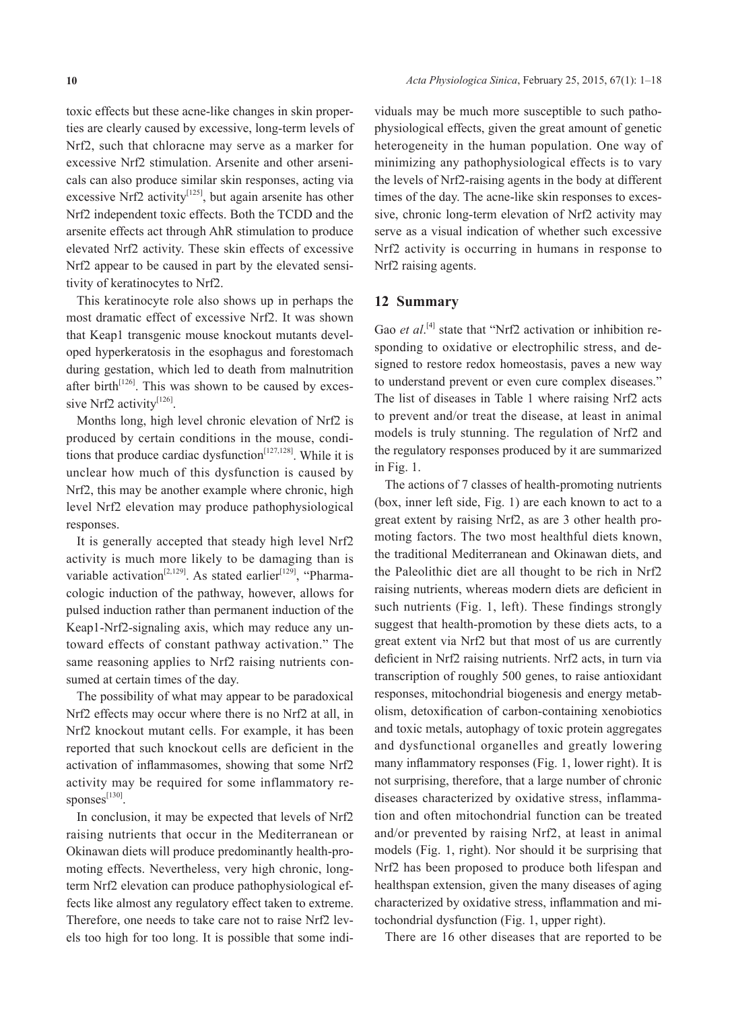toxic effects but these acne-like changes in skin properties are clearly caused by excessive, long-term levels of Nrf2, such that chloracne may serve as a marker for excessive Nrf2 stimulation. Arsenite and other arsenicals can also produce similar skin responses, acting via excessive Nrf2 activity<sup>[125]</sup>, but again arsenite has other Nrf2 independent toxic effects. Both the TCDD and the arsenite effects act through AhR stimulation to produce elevated Nrf2 activity. These skin effects of excessive Nrf2 appear to be caused in part by the elevated sensitivity of keratinocytes to Nrf2.

This keratinocyte role also shows up in perhaps the most dramatic effect of excessive Nrf2. It was shown that Keap1 transgenic mouse knockout mutants developed hyperkeratosis in the esophagus and forestomach during gestation, which led to death from malnutrition after birth<sup>[126]</sup>. This was shown to be caused by excessive Nrf2 activity<sup>[126]</sup>.

Months long, high level chronic elevation of Nrf2 is produced by certain conditions in the mouse, conditions that produce cardiac dysfunction<sup>[127,128]</sup>. While it is unclear how much of this dysfunction is caused by Nrf2, this may be another example where chronic, high level Nrf2 elevation may produce pathophysiological responses.

It is generally accepted that steady high level Nrf2 activity is much more likely to be damaging than is variable activation<sup>[2,129]</sup>. As stated earlier<sup>[129]</sup>, "Pharmacologic induction of the pathway, however, allows for pulsed induction rather than permanent induction of the Keap1-Nrf2-signaling axis, which may reduce any untoward effects of constant pathway activation." The same reasoning applies to Nrf2 raising nutrients consumed at certain times of the day.

The possibility of what may appear to be paradoxical Nrf2 effects may occur where there is no Nrf2 at all, in Nrf2 knockout mutant cells. For example, it has been reported that such knockout cells are deficient in the activation of inflammasomes, showing that some Nrf2 activity may be required for some inflammatory responses<sup>[130]</sup>.

In conclusion, it may be expected that levels of Nrf2 raising nutrients that occur in the Mediterranean or Okinawan diets will produce predominantly health-promoting effects. Nevertheless, very high chronic, longterm Nrf2 elevation can produce pathophysiological effects like almost any regulatory effect taken to extreme. Therefore, one needs to take care not to raise Nrf2 levels too high for too long. It is possible that some indi-

viduals may be much more susceptible to such pathophysiological effects, given the great amount of genetic heterogeneity in the human population. One way of minimizing any pathophysiological effects is to vary the levels of Nrf2-raising agents in the body at different times of the day. The acne-like skin responses to excessive, chronic long-term elevation of Nrf2 activity may serve as a visual indication of whether such excessive Nrf2 activity is occurring in humans in response to Nrf2 raising agents.

#### **12 Summary**

Gao *et al*.<sup>[4]</sup> state that "Nrf2 activation or inhibition responding to oxidative or electrophilic stress, and designed to restore redox homeostasis, paves a new way to understand prevent or even cure complex diseases." The list of diseases in Table 1 where raising Nrf2 acts to prevent and/or treat the disease, at least in animal models is truly stunning. The regulation of Nrf2 and the regulatory responses produced by it are summarized in Fig. 1.

The actions of 7 classes of health-promoting nutrients (box, inner left side, Fig. 1) are each known to act to a great extent by raising Nrf2, as are 3 other health promoting factors. The two most healthful diets known, the traditional Mediterranean and Okinawan diets, and the Paleolithic diet are all thought to be rich in Nrf2 raising nutrients, whereas modern diets are deficient in such nutrients (Fig. 1, left). These findings strongly suggest that health-promotion by these diets acts, to a great extent via Nrf2 but that most of us are currently deficient in Nrf2 raising nutrients. Nrf2 acts, in turn via transcription of roughly 500 genes, to raise antioxidant responses, mitochondrial biogenesis and energy metabolism, detoxification of carbon-containing xenobiotics and toxic metals, autophagy of toxic protein aggregates and dysfunctional organelles and greatly lowering many inflammatory responses (Fig. 1, lower right). It is not surprising, therefore, that a large number of chronic diseases characterized by oxidative stress, inflammation and often mitochondrial function can be treated and/or prevented by raising Nrf2, at least in animal models (Fig. 1, right). Nor should it be surprising that Nrf2 has been proposed to produce both lifespan and healthspan extension, given the many diseases of aging characterized by oxidative stress, inflammation and mitochondrial dysfunction (Fig. 1, upper right).

There are 16 other diseases that are reported to be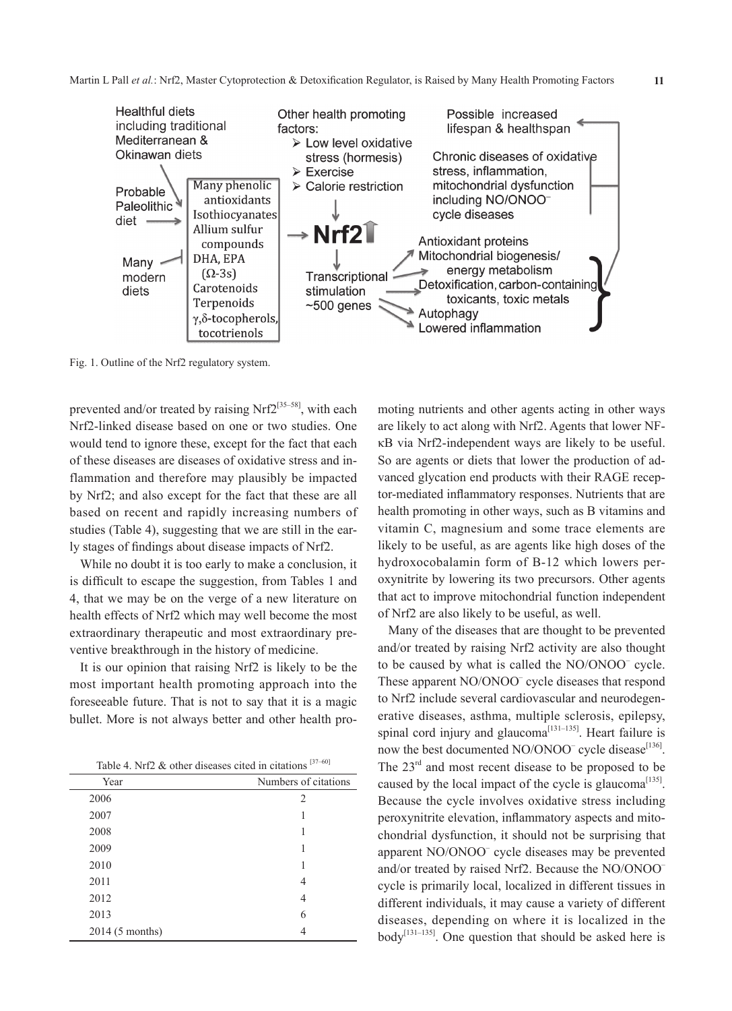

Fig. 1. Outline of the Nrf2 regulatory system.

prevented and/or treated by raising Nrf $2^{[35-58]}$ , with each Nrf2-linked disease based on one or two studies. One would tend to ignore these, except for the fact that each of these diseases are diseases of oxidative stress and inflammation and therefore may plausibly be impacted by Nrf2; and also except for the fact that these are all based on recent and rapidly increasing numbers of studies (Table 4), suggesting that we are still in the early stages of findings about disease impacts of Nrf2.

While no doubt it is too early to make a conclusion, it is difficult to escape the suggestion, from Tables 1 and 4, that we may be on the verge of a new literature on health effects of Nrf2 which may well become the most extraordinary therapeutic and most extraordinary preventive breakthrough in the history of medicine.

It is our opinion that raising Nrf2 is likely to be the most important health promoting approach into the foreseeable future. That is not to say that it is a magic bullet. More is not always better and other health pro-

| Table 4. Nrf2 & other diseases cited in citations $^{[37-60]}$ |
|----------------------------------------------------------------|
|                                                                |

| Year            | Numbers of citations |
|-----------------|----------------------|
| 2006            | $\mathfrak{D}$       |
| 2007            |                      |
| 2008            |                      |
| 2009            |                      |
| 2010            |                      |
| 2011            | 4                    |
| 2012            | 4                    |
| 2013            | 6                    |
| 2014 (5 months) | 4                    |

moting nutrients and other agents acting in other ways are likely to act along with Nrf2. Agents that lower NFκB via Nrf2-independent ways are likely to be useful. So are agents or diets that lower the production of advanced glycation end products with their RAGE receptor-mediated inflammatory responses. Nutrients that are health promoting in other ways, such as B vitamins and vitamin C, magnesium and some trace elements are likely to be useful, as are agents like high doses of the hydroxocobalamin form of B-12 which lowers peroxynitrite by lowering its two precursors. Other agents that act to improve mitochondrial function independent of Nrf2 are also likely to be useful, as well.

Many of the diseases that are thought to be prevented and/or treated by raising Nrf2 activity are also thought to be caused by what is called the NO/ONOO<sup>-</sup> cycle. These apparent NO/ONOO<sup>-</sup> cycle diseases that respond to Nrf2 include several cardiovascular and neurodegenerative diseases, asthma, multiple sclerosis, epilepsy, spinal cord injury and glaucoma<sup>[131–135]</sup>. Heart failure is now the best documented  $NO/ONOO^-$  cycle disease<sup>[136]</sup>. The  $23<sup>rd</sup>$  and most recent disease to be proposed to be caused by the local impact of the cycle is glaucoma<sup>[135]</sup>. Because the cycle involves oxidative stress including peroxynitrite elevation, inflammatory aspects and mitochondrial dysfunction, it should not be surprising that apparent NO/ONOO– cycle diseases may be prevented and/or treated by raised Nrf2. Because the NO/ONOO– cycle is primarily local, localized in different tissues in different individuals, it may cause a variety of different diseases, depending on where it is localized in the  $body^{[131-135]}$ . One question that should be asked here is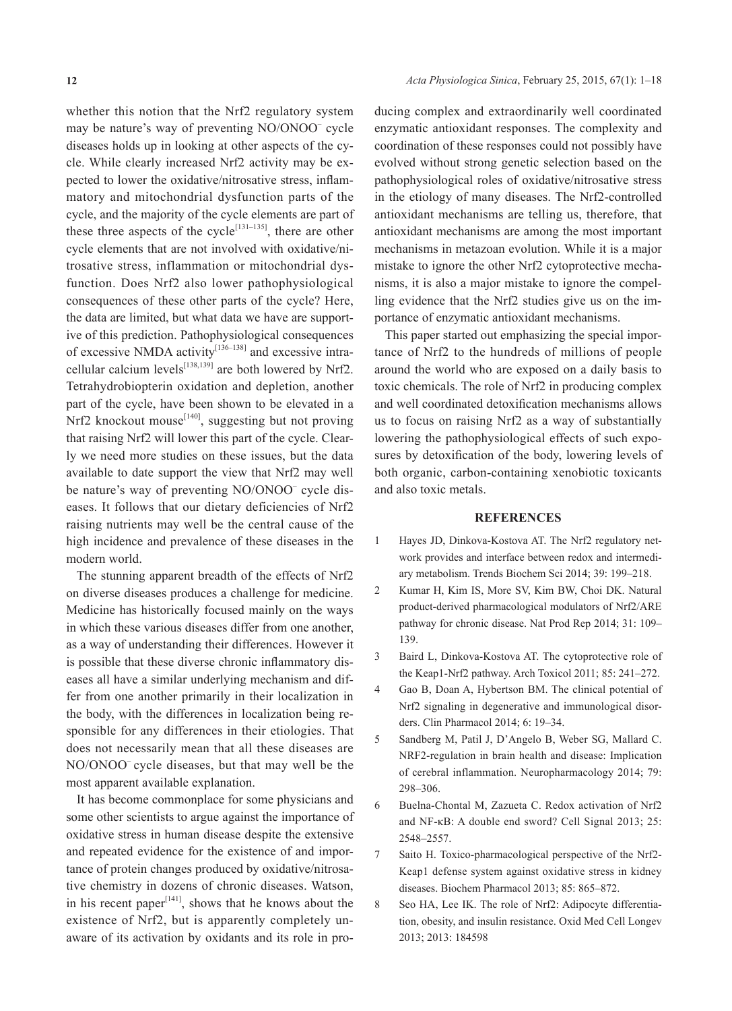whether this notion that the Nrf2 regulatory system may be nature's way of preventing NO/ONOO– cycle diseases holds up in looking at other aspects of the cycle. While clearly increased Nrf2 activity may be expected to lower the oxidative/nitrosative stress, inflammatory and mitochondrial dysfunction parts of the cycle, and the majority of the cycle elements are part of these three aspects of the cycle<sup>[131–135]</sup>, there are other cycle elements that are not involved with oxidative/nitrosative stress, inflammation or mitochondrial dysfunction. Does Nrf2 also lower pathophysiological consequences of these other parts of the cycle? Here, the data are limited, but what data we have are supportive of this prediction. Pathophysiological consequences of excessive NMDA activity<sup>[136-138]</sup> and excessive intracellular calcium levels<sup>[138,139]</sup> are both lowered by Nrf2. Tetrahydrobiopterin oxidation and depletion, another part of the cycle, have been shown to be elevated in a Nrf2 knockout mouse $^{[140]}$ , suggesting but not proving that raising Nrf2 will lower this part of the cycle. Clearly we need more studies on these issues, but the data available to date support the view that Nrf2 may well be nature's way of preventing NO/ONOO<sup>-</sup> cycle diseases. It follows that our dietary deficiencies of Nrf2 raising nutrients may well be the central cause of the high incidence and prevalence of these diseases in the modern world.

The stunning apparent breadth of the effects of Nrf2 on diverse diseases produces a challenge for medicine. Medicine has historically focused mainly on the ways in which these various diseases differ from one another, as a way of understanding their differences. However it is possible that these diverse chronic inflammatory diseases all have a similar underlying mechanism and differ from one another primarily in their localization in the body, with the differences in localization being responsible for any differences in their etiologies. That does not necessarily mean that all these diseases are NO/ONOO– cycle diseases, but that may well be the most apparent available explanation.

It has become commonplace for some physicians and some other scientists to argue against the importance of oxidative stress in human disease despite the extensive and repeated evidence for the existence of and importance of protein changes produced by oxidative/nitrosative chemistry in dozens of chronic diseases. Watson, in his recent paper $[141]$ , shows that he knows about the existence of Nrf2, but is apparently completely unaware of its activation by oxidants and its role in producing complex and extraordinarily well coordinated enzymatic antioxidant responses. The complexity and coordination of these responses could not possibly have evolved without strong genetic selection based on the pathophysiological roles of oxidative/nitrosative stress in the etiology of many diseases. The Nrf2-controlled antioxidant mechanisms are telling us, therefore, that antioxidant mechanisms are among the most important mechanisms in metazoan evolution. While it is a major mistake to ignore the other Nrf2 cytoprotective mechanisms, it is also a major mistake to ignore the compelling evidence that the Nrf2 studies give us on the importance of enzymatic antioxidant mechanisms.

This paper started out emphasizing the special importance of Nrf2 to the hundreds of millions of people around the world who are exposed on a daily basis to toxic chemicals. The role of Nrf2 in producing complex and well coordinated detoxification mechanisms allows us to focus on raising Nrf2 as a way of substantially lowering the pathophysiological effects of such exposures by detoxification of the body, lowering levels of both organic, carbon-containing xenobiotic toxicants and also toxic metals.

#### **REFERENCES**

- 1 Hayes JD, Dinkova-Kostova AT. The Nrf2 regulatory network provides and interface between redox and intermediary metabolism. Trends Biochem Sci 2014; 39: 199–218.
- 2 Kumar H, Kim IS, More SV, Kim BW, Choi DK. Natural product-derived pharmacological modulators of Nrf2/ARE pathway for chronic disease. Nat Prod Rep 2014; 31: 109– 139.
- 3 Baird L, Dinkova-Kostova AT. The cytoprotective role of the Keap1-Nrf2 pathway. Arch Toxicol 2011; 85: 241–272.
- 4 Gao B, Doan A, Hybertson BM. The clinical potential of Nrf2 signaling in degenerative and immunological disorders. Clin Pharmacol 2014; 6: 19–34.
- 5 Sandberg M, Patil J, D'Angelo B, Weber SG, Mallard C. NRF2-regulation in brain health and disease: Implication of cerebral inflammation. Neuropharmacology 2014; 79: 298–306.
- 6 Buelna-Chontal M, Zazueta C. Redox activation of Nrf2 and NF-κB: A double end sword? Cell Signal 2013; 25: 2548–2557.
- 7 Saito H. Toxico-pharmacological perspective of the Nrf2- Keap1 defense system against oxidative stress in kidney diseases. Biochem Pharmacol 2013; 85: 865–872.
- 8 Seo HA, Lee IK. The role of Nrf2: Adipocyte differentiation, obesity, and insulin resistance. Oxid Med Cell Longev 2013; 2013: 184598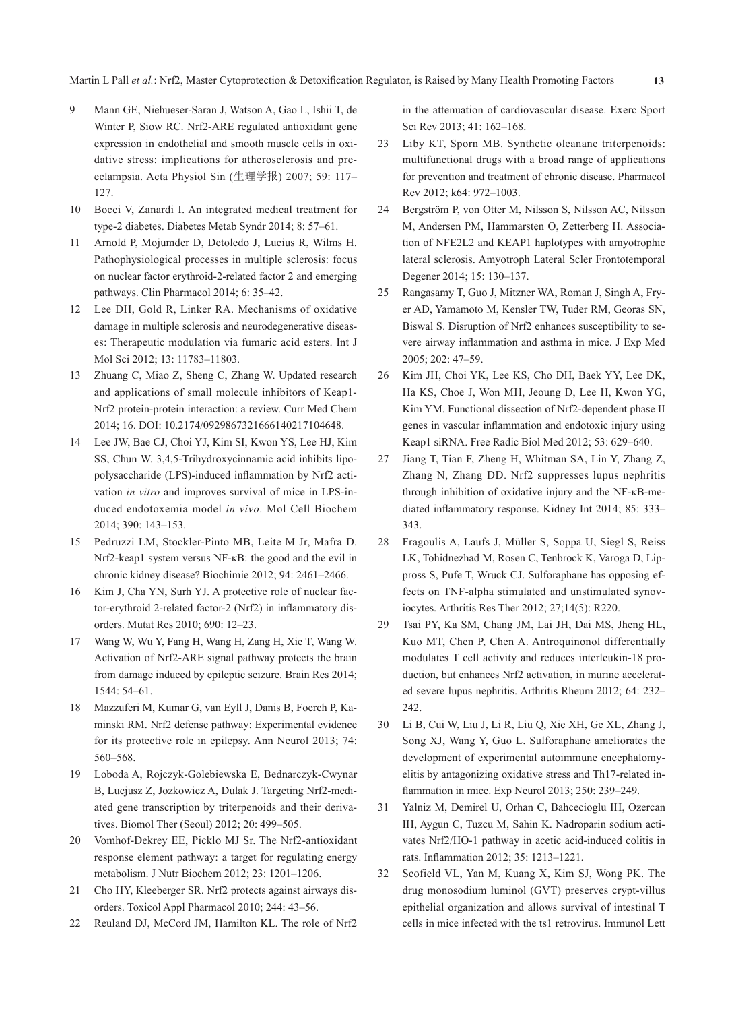- 9 Mann GE, Niehueser-Saran J, Watson A, Gao L, Ishii T, de Winter P, Siow RC. Nrf2-ARE regulated antioxidant gene expression in endothelial and smooth muscle cells in oxidative stress: implications for atherosclerosis and preeclampsia. Acta Physiol Sin (生理学报) 2007; 59: 117– 127.
- 10 Bocci V, Zanardi I. An integrated medical treatment for type-2 diabetes. Diabetes Metab Syndr 2014; 8: 57–61.
- 11 Arnold P, Mojumder D, Detoledo J, Lucius R, Wilms H. Pathophysiological processes in multiple sclerosis: focus on nuclear factor erythroid-2-related factor 2 and emerging pathways. Clin Pharmacol 2014; 6: 35–42.
- 12 Lee DH, Gold R, Linker RA. Mechanisms of oxidative damage in multiple sclerosis and neurodegenerative diseases: Therapeutic modulation via fumaric acid esters. Int J Mol Sci 2012; 13: 11783–11803.
- 13 Zhuang C, Miao Z, Sheng C, Zhang W. Updated research and applications of small molecule inhibitors of Keap1- Nrf2 protein-protein interaction: a review. Curr Med Chem 2014; 16. DOI: 10.2174/0929867321666140217104648.
- 14 Lee JW, Bae CJ, Choi YJ, Kim SI, Kwon YS, Lee HJ, Kim SS, Chun W. 3,4,5-Trihydroxycinnamic acid inhibits lipopolysaccharide (LPS)-induced inflammation by Nrf2 activation *in vitro* and improves survival of mice in LPS-induced endotoxemia model *in vivo*. Mol Cell Biochem 2014; 390: 143–153.
- 15 Pedruzzi LM, Stockler-Pinto MB, Leite M Jr, Mafra D. Nrf2-keap1 system versus NF-κB: the good and the evil in chronic kidney disease? Biochimie 2012; 94: 2461–2466.
- 16 Kim J, Cha YN, Surh YJ. A protective role of nuclear factor-erythroid 2-related factor-2 (Nrf2) in inflammatory disorders. Mutat Res 2010; 690: 12–23.
- 17 Wang W, Wu Y, Fang H, Wang H, Zang H, Xie T, Wang W. Activation of Nrf2-ARE signal pathway protects the brain from damage induced by epileptic seizure. Brain Res 2014; 1544: 54–61.
- 18 Mazzuferi M, Kumar G, van Eyll J, Danis B, Foerch P, Kaminski RM. Nrf2 defense pathway: Experimental evidence for its protective role in epilepsy. Ann Neurol 2013; 74: 560–568.
- 19 Loboda A, Rojczyk-Golebiewska E, Bednarczyk-Cwynar B, Lucjusz Z, Jozkowicz A, Dulak J. Targeting Nrf2-mediated gene transcription by triterpenoids and their derivatives. Biomol Ther (Seoul) 2012; 20: 499–505.
- 20 Vomhof-Dekrey EE, Picklo MJ Sr. The Nrf2-antioxidant response element pathway: a target for regulating energy metabolism. J Nutr Biochem 2012; 23: 1201–1206.
- 21 Cho HY, Kleeberger SR. Nrf2 protects against airways disorders. Toxicol Appl Pharmacol 2010; 244: 43–56.
- 22 Reuland DJ, McCord JM, Hamilton KL. The role of Nrf2

in the attenuation of cardiovascular disease. Exerc Sport Sci Rev 2013; 41: 162–168.

- 23 Liby KT, Sporn MB. Synthetic oleanane triterpenoids: multifunctional drugs with a broad range of applications for prevention and treatment of chronic disease. Pharmacol Rev 2012; k64: 972–1003.
- 24 Bergström P, von Otter M, Nilsson S, Nilsson AC, Nilsson M, Andersen PM, Hammarsten O, Zetterberg H. Association of NFE2L2 and KEAP1 haplotypes with amyotrophic lateral sclerosis. Amyotroph Lateral Scler Frontotemporal Degener 2014; 15: 130–137.
- 25 Rangasamy T, Guo J, Mitzner WA, Roman J, Singh A, Fryer AD, Yamamoto M, Kensler TW, Tuder RM, Georas SN, Biswal S. Disruption of Nrf2 enhances susceptibility to severe airway inflammation and asthma in mice. J Exp Med 2005; 202: 47–59.
- 26 Kim JH, Choi YK, Lee KS, Cho DH, Baek YY, Lee DK, Ha KS, Choe J, Won MH, Jeoung D, Lee H, Kwon YG, Kim YM. Functional dissection of Nrf2-dependent phase II genes in vascular inflammation and endotoxic injury using Keap1 siRNA. Free Radic Biol Med 2012; 53: 629–640.
- 27 Jiang T, Tian F, Zheng H, Whitman SA, Lin Y, Zhang Z, Zhang N, Zhang DD. Nrf2 suppresses lupus nephritis through inhibition of oxidative injury and the NF-κB-mediated inflammatory response. Kidney Int 2014; 85: 333– 343.
- 28 Fragoulis A, Laufs J, Müller S, Soppa U, Siegl S, Reiss LK, Tohidnezhad M, Rosen C, Tenbrock K, Varoga D, Lippross S, Pufe T, Wruck CJ. Sulforaphane has opposing effects on TNF-alpha stimulated and unstimulated synoviocytes. Arthritis Res Ther 2012; 27;14(5): R220.
- 29 Tsai PY, Ka SM, Chang JM, Lai JH, Dai MS, Jheng HL, Kuo MT, Chen P, Chen A. Antroquinonol differentially modulates T cell activity and reduces interleukin-18 production, but enhances Nrf2 activation, in murine accelerated severe lupus nephritis. Arthritis Rheum 2012; 64: 232– 242.
- 30 Li B, Cui W, Liu J, Li R, Liu Q, Xie XH, Ge XL, Zhang J, Song XJ, Wang Y, Guo L. Sulforaphane ameliorates the development of experimental autoimmune encephalomyelitis by antagonizing oxidative stress and Th17-related inflammation in mice. Exp Neurol 2013; 250: 239–249.
- 31 Yalniz M, Demirel U, Orhan C, Bahcecioglu IH, Ozercan IH, Aygun C, Tuzcu M, Sahin K. Nadroparin sodium activates Nrf2/HO-1 pathway in acetic acid-induced colitis in rats. Inflammation 2012; 35: 1213–1221.
- 32 Scofield VL, Yan M, Kuang X, Kim SJ, Wong PK. The drug monosodium luminol (GVT) preserves crypt-villus epithelial organization and allows survival of intestinal T cells in mice infected with the ts1 retrovirus. Immunol Lett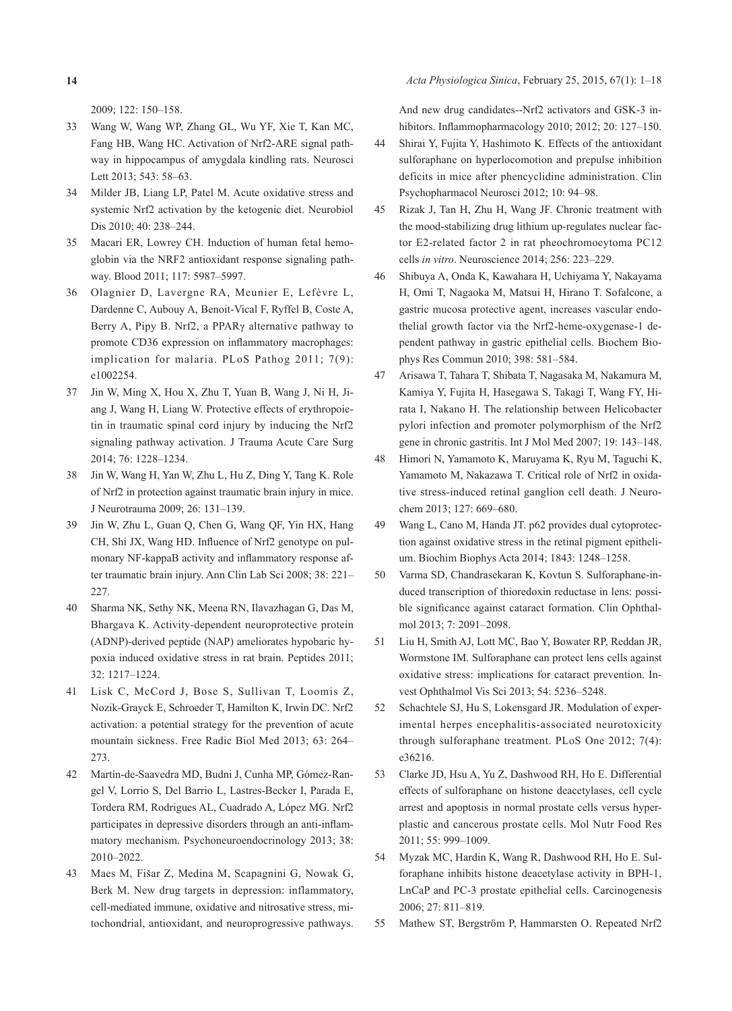2009; 122: 150–158.

- 33 Wang W, Wang WP, Zhang GL, Wu YF, Xie T, Kan MC, Fang HB, Wang HC. Activation of Nrf2-ARE signal pathway in hippocampus of amygdala kindling rats. Neurosci Lett 2013; 543: 58–63.
- 34 Milder JB, Liang LP, Patel M. Acute oxidative stress and systemic Nrf2 activation by the ketogenic diet. Neurobiol Dis 2010; 40: 238–244.
- 35 Macari ER, Lowrey CH. Induction of human fetal hemoglobin via the NRF2 antioxidant response signaling pathway. Blood 2011; 117: 5987–5997.
- 36 Olagnier D, Lavergne RA, Meunier E, Lefèvre L, Dardenne C, Aubouy A, Benoit-Vical F, Ryffel B, Coste A, Berry A, Pipy B. Nrf2, a PPARγ alternative pathway to promote CD36 expression on inflammatory macrophages: implication for malaria. PLoS Pathog 2011; 7(9): e1002254.
- 37 Jin W, Ming X, Hou X, Zhu T, Yuan B, Wang J, Ni H, Jiang J, Wang H, Liang W. Protective effects of erythropoietin in traumatic spinal cord injury by inducing the Nrf2 signaling pathway activation. J Trauma Acute Care Surg 2014; 76: 1228–1234.
- 38 Jin W, Wang H, Yan W, Zhu L, Hu Z, Ding Y, Tang K. Role of Nrf2 in protection against traumatic brain injury in mice. J Neurotrauma 2009; 26: 131–139.
- 39 Jin W, Zhu L, Guan Q, Chen G, Wang QF, Yin HX, Hang CH, Shi JX, Wang HD. Influence of Nrf2 genotype on pulmonary NF-kappaB activity and inflammatory response after traumatic brain injury. Ann Clin Lab Sci 2008; 38: 221– 227.
- 40 Sharma NK, Sethy NK, Meena RN, Ilavazhagan G, Das M, Bhargava K. Activity-dependent neuroprotective protein (ADNP)-derived peptide (NAP) ameliorates hypobaric hypoxia induced oxidative stress in rat brain. Peptides 2011; 32: 1217–1224.
- 41 Lisk C, McCord J, Bose S, Sullivan T, Loomis Z, Nozik-Grayck E, Schroeder T, Hamilton K, Irwin DC. Nrf2 activation: a potential strategy for the prevention of acute mountain sickness. Free Radic Biol Med 2013; 63: 264– 273.
- 42 Martín-de-Saavedra MD, Budni J, Cunha MP, Gómez-Rangel V, Lorrio S, Del Barrio L, Lastres-Becker I, Parada E, Tordera RM, Rodrigues AL, Cuadrado A, López MG. Nrf2 participates in depressive disorders through an anti-inflammatory mechanism. Psychoneuroendocrinology 2013; 38: 2010–2022.
- 43 Maes M, Fišar Z, Medina M, Scapagnini G, Nowak G, Berk M. New drug targets in depression: inflammatory, cell-mediated immune, oxidative and nitrosative stress, mitochondrial, antioxidant, and neuroprogressive pathways.

And new drug candidates--Nrf2 activators and GSK-3 inhibitors. Inflammopharmacology 2010; 2012; 20: 127–150.

- 44 Shirai Y, Fujita Y, Hashimoto K. Effects of the antioxidant sulforaphane on hyperlocomotion and prepulse inhibition deficits in mice after phencyclidine administration. Clin Psychopharmacol Neurosci 2012; 10: 94–98.
- 45 Rizak J, Tan H, Zhu H, Wang JF. Chronic treatment with the mood-stabilizing drug lithium up-regulates nuclear factor E2-related factor 2 in rat pheochromocytoma PC12 cells *in vitro*. Neuroscience 2014; 256: 223–229.
- 46 Shibuya A, Onda K, Kawahara H, Uchiyama Y, Nakayama H, Omi T, Nagaoka M, Matsui H, Hirano T. Sofalcone, a gastric mucosa protective agent, increases vascular endothelial growth factor via the Nrf2-heme-oxygenase-1 dependent pathway in gastric epithelial cells. Biochem Biophys Res Commun 2010; 398: 581–584.
- 47 Arisawa T, Tahara T, Shibata T, Nagasaka M, Nakamura M, Kamiya Y, Fujita H, Hasegawa S, Takagi T, Wang FY, Hirata I, Nakano H. The relationship between Helicobacter pylori infection and promoter polymorphism of the Nrf2 gene in chronic gastritis. Int J Mol Med 2007; 19: 143–148.
- 48 Himori N, Yamamoto K, Maruyama K, Ryu M, Taguchi K, Yamamoto M, Nakazawa T. Critical role of Nrf2 in oxidative stress-induced retinal ganglion cell death. J Neurochem 2013; 127: 669–680.
- 49 Wang L, Cano M, Handa JT. p62 provides dual cytoprotection against oxidative stress in the retinal pigment epithelium. Biochim Biophys Acta 2014; 1843: 1248–1258.
- 50 Varma SD, Chandrasekaran K, Kovtun S. Sulforaphane-induced transcription of thioredoxin reductase in lens: possible significance against cataract formation. Clin Ophthalmol 2013; 7: 2091–2098.
- 51 Liu H, Smith AJ, Lott MC, Bao Y, Bowater RP, Reddan JR, Wormstone IM. Sulforaphane can protect lens cells against oxidative stress: implications for cataract prevention. Invest Ophthalmol Vis Sci 2013; 54: 5236–5248.
- 52 Schachtele SJ, Hu S, Lokensgard JR. Modulation of experimental herpes encephalitis-associated neurotoxicity through sulforaphane treatment. PLoS One 2012; 7(4): e36216.
- 53 Clarke JD, Hsu A, Yu Z, Dashwood RH, Ho E. Differential effects of sulforaphane on histone deacetylases, cell cycle arrest and apoptosis in normal prostate cells versus hyperplastic and cancerous prostate cells. Mol Nutr Food Res 2011; 55: 999–1009.
- 54 Myzak MC, Hardin K, Wang R, Dashwood RH, Ho E. Sulforaphane inhibits histone deacetylase activity in BPH-1, LnCaP and PC-3 prostate epithelial cells. Carcinogenesis 2006; 27: 811–819.
- 55 Mathew ST, Bergström P, Hammarsten O. Repeated Nrf2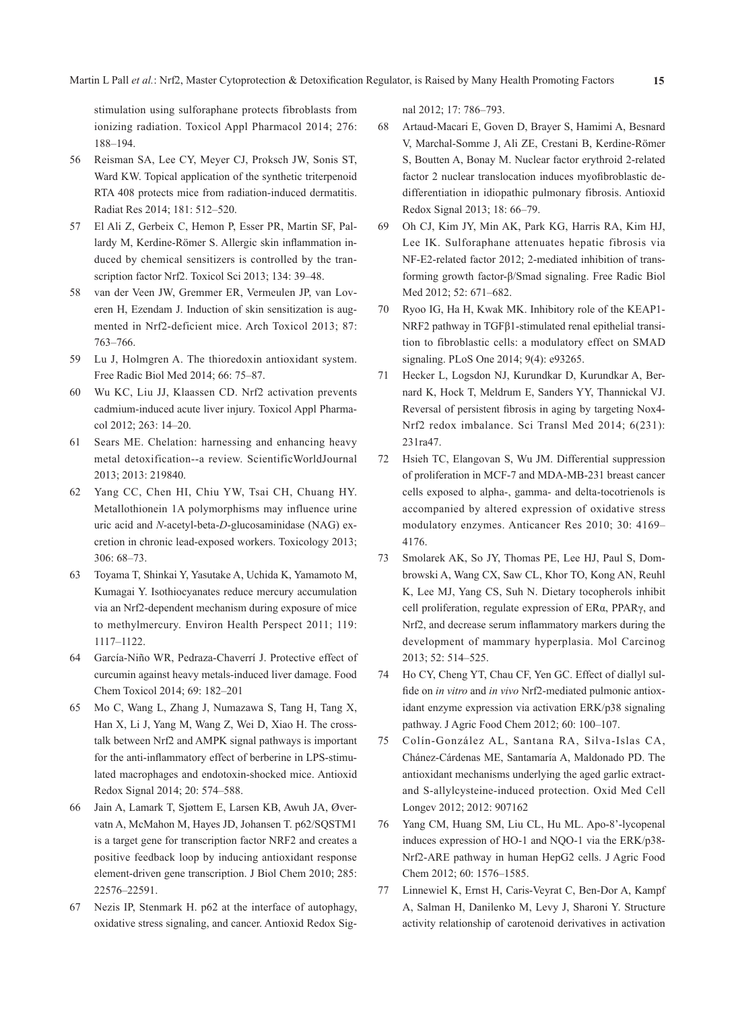stimulation using sulforaphane protects fibroblasts from ionizing radiation. Toxicol Appl Pharmacol 2014; 276: 188–194.

- 56 Reisman SA, Lee CY, Meyer CJ, Proksch JW, Sonis ST, Ward KW. Topical application of the synthetic triterpenoid RTA 408 protects mice from radiation-induced dermatitis. Radiat Res 2014; 181: 512–520.
- 57 El Ali Z, Gerbeix C, Hemon P, Esser PR, Martin SF, Pallardy M, Kerdine-Römer S. Allergic skin inflammation induced by chemical sensitizers is controlled by the transcription factor Nrf2. Toxicol Sci 2013; 134: 39–48.
- 58 van der Veen JW, Gremmer ER, Vermeulen JP, van Loveren H, Ezendam J. Induction of skin sensitization is augmented in Nrf2-deficient mice. Arch Toxicol 2013; 87: 763–766.
- 59 Lu J, Holmgren A. The thioredoxin antioxidant system. Free Radic Biol Med 2014; 66: 75–87.
- 60 Wu KC, Liu JJ, Klaassen CD. Nrf2 activation prevents cadmium-induced acute liver injury. Toxicol Appl Pharmacol 2012; 263: 14–20.
- 61 Sears ME. Chelation: harnessing and enhancing heavy metal detoxification--a review. ScientificWorldJournal 2013; 2013: 219840.
- 62 Yang CC, Chen HI, Chiu YW, Tsai CH, Chuang HY. Metallothionein 1A polymorphisms may influence urine uric acid and *N*-acetyl-beta-*D*-glucosaminidase (NAG) excretion in chronic lead-exposed workers. Toxicology 2013; 306: 68–73.
- 63 Toyama T, Shinkai Y, Yasutake A, Uchida K, Yamamoto M, Kumagai Y. Isothiocyanates reduce mercury accumulation via an Nrf2-dependent mechanism during exposure of mice to methylmercury. Environ Health Perspect 2011; 119: 1117–1122.
- 64 García-Niño WR, Pedraza-Chaverrí J. Protective effect of curcumin against heavy metals-induced liver damage. Food Chem Toxicol 2014; 69: 182–201
- 65 Mo C, Wang L, Zhang J, Numazawa S, Tang H, Tang X, Han X, Li J, Yang M, Wang Z, Wei D, Xiao H. The crosstalk between Nrf2 and AMPK signal pathways is important for the anti-inflammatory effect of berberine in LPS-stimulated macrophages and endotoxin-shocked mice. Antioxid Redox Signal 2014; 20: 574–588.
- 66 Jain A, Lamark T, Sjøttem E, Larsen KB, Awuh JA, Øvervatn A, McMahon M, Hayes JD, Johansen T. p62/SQSTM1 is a target gene for transcription factor NRF2 and creates a positive feedback loop by inducing antioxidant response element-driven gene transcription. J Biol Chem 2010; 285: 22576–22591.
- 67 Nezis IP, Stenmark H. p62 at the interface of autophagy, oxidative stress signaling, and cancer. Antioxid Redox Sig-

nal 2012; 17: 786–793.

- 68 Artaud-Macari E, Goven D, Brayer S, Hamimi A, Besnard V, Marchal-Somme J, Ali ZE, Crestani B, Kerdine-Römer S, Boutten A, Bonay M. Nuclear factor erythroid 2-related factor 2 nuclear translocation induces myofibroblastic dedifferentiation in idiopathic pulmonary fibrosis. Antioxid Redox Signal 2013; 18: 66–79.
- 69 Oh CJ, Kim JY, Min AK, Park KG, Harris RA, Kim HJ, Lee IK. Sulforaphane attenuates hepatic fibrosis via NF-E2-related factor 2012; 2-mediated inhibition of transforming growth factor-β/Smad signaling. Free Radic Biol Med 2012; 52: 671–682.
- 70 Ryoo IG, Ha H, Kwak MK. Inhibitory role of the KEAP1- NRF2 pathway in TGFβ1-stimulated renal epithelial transition to fibroblastic cells: a modulatory effect on SMAD signaling. PLoS One 2014; 9(4): e93265.
- 71 Hecker L, Logsdon NJ, Kurundkar D, Kurundkar A, Bernard K, Hock T, Meldrum E, Sanders YY, Thannickal VJ. Reversal of persistent fibrosis in aging by targeting Nox4- Nrf2 redox imbalance. Sci Transl Med 2014; 6(231): 231ra47.
- 72 Hsieh TC, Elangovan S, Wu JM. Differential suppression of proliferation in MCF-7 and MDA-MB-231 breast cancer cells exposed to alpha-, gamma- and delta-tocotrienols is accompanied by altered expression of oxidative stress modulatory enzymes. Anticancer Res 2010; 30: 4169– 4176.
- 73 Smolarek AK, So JY, Thomas PE, Lee HJ, Paul S, Dombrowski A, Wang CX, Saw CL, Khor TO, Kong AN, Reuhl K, Lee MJ, Yang CS, Suh N. Dietary tocopherols inhibit cell proliferation, regulate expression of ERα, PPARγ, and Nrf2, and decrease serum inflammatory markers during the development of mammary hyperplasia. Mol Carcinog 2013; 52: 514–525.
- 74 Ho CY, Cheng YT, Chau CF, Yen GC. Effect of diallyl sulfide on *in vitro* and *in vivo* Nrf2-mediated pulmonic antioxidant enzyme expression via activation ERK/p38 signaling pathway. J Agric Food Chem 2012; 60: 100–107.
- 75 Colín-González AL, Santana RA, Silva-Islas CA, Chánez-Cárdenas ME, Santamaría A, Maldonado PD. The antioxidant mechanisms underlying the aged garlic extractand S-allylcysteine-induced protection. Oxid Med Cell Longev 2012; 2012: 907162
- 76 Yang CM, Huang SM, Liu CL, Hu ML. Apo-8'-lycopenal induces expression of HO-1 and NQO-1 via the ERK/p38- Nrf2-ARE pathway in human HepG2 cells. J Agric Food Chem 2012; 60: 1576–1585.
- 77 Linnewiel K, Ernst H, Caris-Veyrat C, Ben-Dor A, Kampf A, Salman H, Danilenko M, Levy J, Sharoni Y. Structure activity relationship of carotenoid derivatives in activation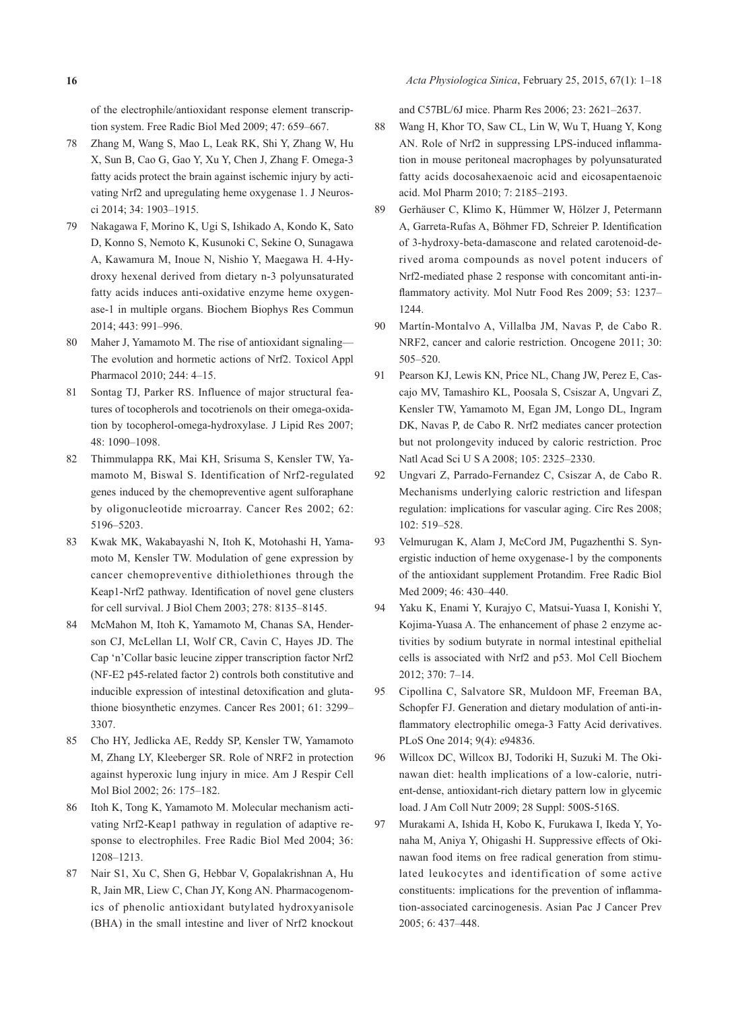of the electrophile/antioxidant response element transcription system. Free Radic Biol Med 2009; 47: 659–667.

- 78 Zhang M, Wang S, Mao L, Leak RK, Shi Y, Zhang W, Hu X, Sun B, Cao G, Gao Y, Xu Y, Chen J, Zhang F. Omega-3 fatty acids protect the brain against ischemic injury by activating Nrf2 and upregulating heme oxygenase 1. J Neurosci 2014; 34: 1903–1915.
- 79 Nakagawa F, Morino K, Ugi S, Ishikado A, Kondo K, Sato D, Konno S, Nemoto K, Kusunoki C, Sekine O, Sunagawa A, Kawamura M, Inoue N, Nishio Y, Maegawa H. 4-Hydroxy hexenal derived from dietary n-3 polyunsaturated fatty acids induces anti-oxidative enzyme heme oxygenase-1 in multiple organs. Biochem Biophys Res Commun 2014; 443: 991–996.
- 80 Maher J, Yamamoto M. The rise of antioxidant signaling— The evolution and hormetic actions of Nrf2. Toxicol Appl Pharmacol 2010; 244: 4–15.
- 81 Sontag TJ, Parker RS. Influence of major structural features of tocopherols and tocotrienols on their omega-oxidation by tocopherol-omega-hydroxylase. J Lipid Res 2007; 48: 1090–1098.
- 82 Thimmulappa RK, Mai KH, Srisuma S, Kensler TW, Yamamoto M, Biswal S. Identification of Nrf2-regulated genes induced by the chemopreventive agent sulforaphane by oligonucleotide microarray. Cancer Res 2002; 62: 5196–5203.
- 83 Kwak MK, Wakabayashi N, Itoh K, Motohashi H, Yamamoto M, Kensler TW. Modulation of gene expression by cancer chemopreventive dithiolethiones through the Keap1-Nrf2 pathway. Identification of novel gene clusters for cell survival. J Biol Chem 2003; 278: 8135–8145.
- 84 McMahon M, Itoh K, Yamamoto M, Chanas SA, Henderson CJ, McLellan LI, Wolf CR, Cavin C, Hayes JD. The Cap 'n'Collar basic leucine zipper transcription factor Nrf2 (NF-E2 p45-related factor 2) controls both constitutive and inducible expression of intestinal detoxification and glutathione biosynthetic enzymes. Cancer Res 2001; 61: 3299– 3307.
- 85 Cho HY, Jedlicka AE, Reddy SP, Kensler TW, Yamamoto M, Zhang LY, Kleeberger SR. Role of NRF2 in protection against hyperoxic lung injury in mice. Am J Respir Cell Mol Biol 2002; 26: 175–182.
- 86 Itoh K, Tong K, Yamamoto M. Molecular mechanism activating Nrf2-Keap1 pathway in regulation of adaptive response to electrophiles. Free Radic Biol Med 2004; 36: 1208–1213.
- 87 Nair S1, Xu C, Shen G, Hebbar V, Gopalakrishnan A, Hu R, Jain MR, Liew C, Chan JY, Kong AN. Pharmacogenomics of phenolic antioxidant butylated hydroxyanisole (BHA) in the small intestine and liver of Nrf2 knockout

and C57BL/6J mice. Pharm Res 2006; 23: 2621–2637.

- 88 Wang H, Khor TO, Saw CL, Lin W, Wu T, Huang Y, Kong AN. Role of Nrf2 in suppressing LPS-induced inflammation in mouse peritoneal macrophages by polyunsaturated fatty acids docosahexaenoic acid and eicosapentaenoic acid. Mol Pharm 2010; 7: 2185–2193.
- 89 Gerhäuser C, Klimo K, Hümmer W, Hölzer J, Petermann A, Garreta-Rufas A, Böhmer FD, Schreier P. Identification of 3-hydroxy-beta-damascone and related carotenoid-derived aroma compounds as novel potent inducers of Nrf2-mediated phase 2 response with concomitant anti-inflammatory activity. Mol Nutr Food Res 2009; 53: 1237– 1244.
- 90 Martín-Montalvo A, Villalba JM, Navas P, de Cabo R. NRF2, cancer and calorie restriction. Oncogene 2011; 30: 505–520.
- 91 Pearson KJ, Lewis KN, Price NL, Chang JW, Perez E, Cascajo MV, Tamashiro KL, Poosala S, Csiszar A, Ungvari Z, Kensler TW, Yamamoto M, Egan JM, Longo DL, Ingram DK, Navas P, de Cabo R. Nrf2 mediates cancer protection but not prolongevity induced by caloric restriction. Proc Natl Acad Sci U S A 2008; 105: 2325–2330.
- 92 Ungvari Z, Parrado-Fernandez C, Csiszar A, de Cabo R. Mechanisms underlying caloric restriction and lifespan regulation: implications for vascular aging. Circ Res 2008; 102: 519–528.
- 93 Velmurugan K, Alam J, McCord JM, Pugazhenthi S. Synergistic induction of heme oxygenase-1 by the components of the antioxidant supplement Protandim. Free Radic Biol Med 2009; 46: 430–440.
- 94 Yaku K, Enami Y, Kurajyo C, Matsui-Yuasa I, Konishi Y, Kojima-Yuasa A. The enhancement of phase 2 enzyme activities by sodium butyrate in normal intestinal epithelial cells is associated with Nrf2 and p53. Mol Cell Biochem 2012; 370: 7–14.
- 95 Cipollina C, Salvatore SR, Muldoon MF, Freeman BA, Schopfer FJ. Generation and dietary modulation of anti-inflammatory electrophilic omega-3 Fatty Acid derivatives. PLoS One 2014; 9(4): e94836.
- 96 Willcox DC, Willcox BJ, Todoriki H, Suzuki M. The Okinawan diet: health implications of a low-calorie, nutrient-dense, antioxidant-rich dietary pattern low in glycemic load. J Am Coll Nutr 2009; 28 Suppl: 500S-516S.
- 97 Murakami A, Ishida H, Kobo K, Furukawa I, Ikeda Y, Yonaha M, Aniya Y, Ohigashi H. Suppressive effects of Okinawan food items on free radical generation from stimulated leukocytes and identification of some active constituents: implications for the prevention of inflammation-associated carcinogenesis. Asian Pac J Cancer Prev 2005; 6: 437–448.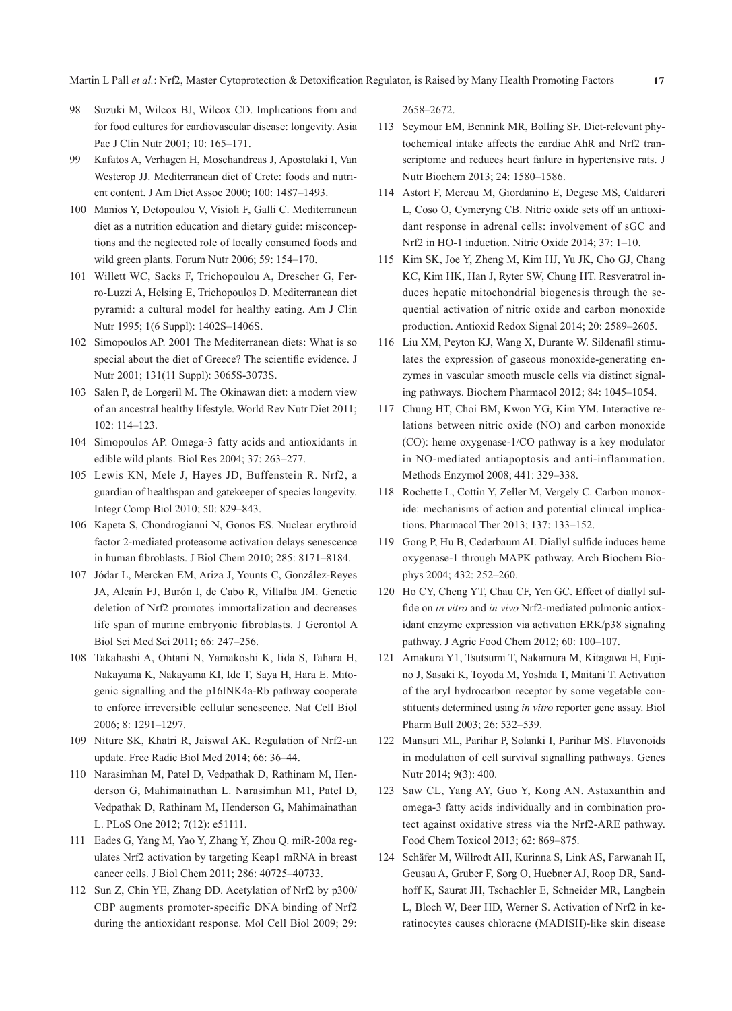Martin L Pall *et al.*: Nrf2, Master Cytoprotection & Detoxification Regulator, is Raised by Many Health Promoting Factors **17**

- 98 Suzuki M, Wilcox BJ, Wilcox CD. Implications from and for food cultures for cardiovascular disease: longevity. Asia Pac J Clin Nutr 2001; 10: 165–171.
- 99 Kafatos A, Verhagen H, Moschandreas J, Apostolaki I, Van Westerop JJ. Mediterranean diet of Crete: foods and nutrient content. J Am Diet Assoc 2000; 100: 1487–1493.
- 100 Manios Y, Detopoulou V, Visioli F, Galli C. Mediterranean diet as a nutrition education and dietary guide: misconceptions and the neglected role of locally consumed foods and wild green plants. Forum Nutr 2006; 59: 154–170.
- 101 Willett WC, Sacks F, Trichopoulou A, Drescher G, Ferro-Luzzi A, Helsing E, Trichopoulos D. Mediterranean diet pyramid: a cultural model for healthy eating. Am J Clin Nutr 1995; 1(6 Suppl): 1402S–1406S.
- 102 Simopoulos AP. 2001 The Mediterranean diets: What is so special about the diet of Greece? The scientific evidence. J Nutr 2001; 131(11 Suppl): 3065S-3073S.
- 103 Salen P, de Lorgeril M. The Okinawan diet: a modern view of an ancestral healthy lifestyle. World Rev Nutr Diet 2011; 102: 114–123.
- 104 Simopoulos AP. Omega-3 fatty acids and antioxidants in edible wild plants. Biol Res 2004; 37: 263–277.
- 105 Lewis KN, Mele J, Hayes JD, Buffenstein R. Nrf2, a guardian of healthspan and gatekeeper of species longevity. Integr Comp Biol 2010; 50: 829–843.
- 106 Kapeta S, Chondrogianni N, Gonos ES. Nuclear erythroid factor 2-mediated proteasome activation delays senescence in human fibroblasts. J Biol Chem 2010; 285: 8171–8184.
- 107 Jódar L, Mercken EM, Ariza J, Younts C, González-Reyes JA, Alcaín FJ, Burón I, de Cabo R, Villalba JM. Genetic deletion of Nrf2 promotes immortalization and decreases life span of murine embryonic fibroblasts. J Gerontol A Biol Sci Med Sci 2011; 66: 247–256.
- 108 Takahashi A, Ohtani N, Yamakoshi K, Iida S, Tahara H, Nakayama K, Nakayama KI, Ide T, Saya H, Hara E. Mitogenic signalling and the p16INK4a-Rb pathway cooperate to enforce irreversible cellular senescence. Nat Cell Biol 2006; 8: 1291–1297.
- 109 Niture SK, Khatri R, Jaiswal AK. Regulation of Nrf2-an update. Free Radic Biol Med 2014; 66: 36–44.
- 110 Narasimhan M, Patel D, Vedpathak D, Rathinam M, Henderson G, Mahimainathan L. Narasimhan M1, Patel D, Vedpathak D, Rathinam M, Henderson G, Mahimainathan L. PLoS One 2012; 7(12): e51111.
- 111 Eades G, Yang M, Yao Y, Zhang Y, Zhou Q. miR-200a regulates Nrf2 activation by targeting Keap1 mRNA in breast cancer cells. J Biol Chem 2011; 286: 40725–40733.
- 112 Sun Z, Chin YE, Zhang DD. Acetylation of Nrf2 by p300/ CBP augments promoter-specific DNA binding of Nrf2 during the antioxidant response. Mol Cell Biol 2009; 29:

2658–2672.

- 113 Seymour EM, Bennink MR, Bolling SF. Diet-relevant phytochemical intake affects the cardiac AhR and Nrf2 transcriptome and reduces heart failure in hypertensive rats. J Nutr Biochem 2013; 24: 1580–1586.
- 114 Astort F, Mercau M, Giordanino E, Degese MS, Caldareri L, Coso O, Cymeryng CB. Nitric oxide sets off an antioxidant response in adrenal cells: involvement of sGC and Nrf2 in HO-1 induction. Nitric Oxide 2014; 37: 1–10.
- 115 Kim SK, Joe Y, Zheng M, Kim HJ, Yu JK, Cho GJ, Chang KC, Kim HK, Han J, Ryter SW, Chung HT. Resveratrol induces hepatic mitochondrial biogenesis through the sequential activation of nitric oxide and carbon monoxide production. Antioxid Redox Signal 2014; 20: 2589–2605.
- 116 Liu XM, Peyton KJ, Wang X, Durante W. Sildenafil stimulates the expression of gaseous monoxide-generating enzymes in vascular smooth muscle cells via distinct signaling pathways. Biochem Pharmacol 2012; 84: 1045–1054.
- 117 Chung HT, Choi BM, Kwon YG, Kim YM. Interactive relations between nitric oxide (NO) and carbon monoxide (CO): heme oxygenase-1/CO pathway is a key modulator in NO-mediated antiapoptosis and anti-inflammation. Methods Enzymol 2008; 441: 329–338.
- 118 Rochette L, Cottin Y, Zeller M, Vergely C. Carbon monoxide: mechanisms of action and potential clinical implications. Pharmacol Ther 2013; 137: 133–152.
- 119 Gong P, Hu B, Cederbaum AI. Diallyl sulfide induces heme oxygenase-1 through MAPK pathway. Arch Biochem Biophys 2004; 432: 252–260.
- 120 Ho CY, Cheng YT, Chau CF, Yen GC. Effect of diallyl sulfide on *in vitro* and *in vivo* Nrf2-mediated pulmonic antioxidant enzyme expression via activation ERK/p38 signaling pathway. J Agric Food Chem 2012; 60: 100–107.
- 121 Amakura Y1, Tsutsumi T, Nakamura M, Kitagawa H, Fujino J, Sasaki K, Toyoda M, Yoshida T, Maitani T. Activation of the aryl hydrocarbon receptor by some vegetable constituents determined using *in vitro* reporter gene assay. Biol Pharm Bull 2003; 26: 532–539.
- 122 Mansuri ML, Parihar P, Solanki I, Parihar MS. Flavonoids in modulation of cell survival signalling pathways. Genes Nutr 2014; 9(3): 400.
- 123 Saw CL, Yang AY, Guo Y, Kong AN. Astaxanthin and omega-3 fatty acids individually and in combination protect against oxidative stress via the Nrf2-ARE pathway. Food Chem Toxicol 2013; 62: 869–875.
- 124 Schäfer M, Willrodt AH, Kurinna S, Link AS, Farwanah H, Geusau A, Gruber F, Sorg O, Huebner AJ, Roop DR, Sandhoff K, Saurat JH, Tschachler E, Schneider MR, Langbein L, Bloch W, Beer HD, Werner S. Activation of Nrf2 in keratinocytes causes chloracne (MADISH)-like skin disease